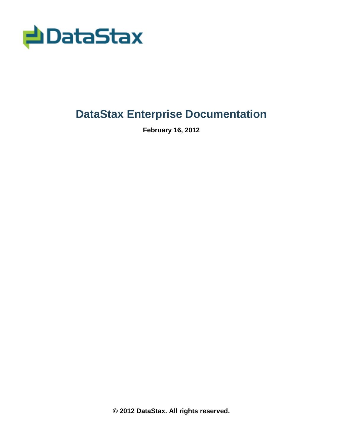

# **DataStax Enterprise Documentation**

**February 16, 2012**

**© 2012 DataStax. All rights reserved.**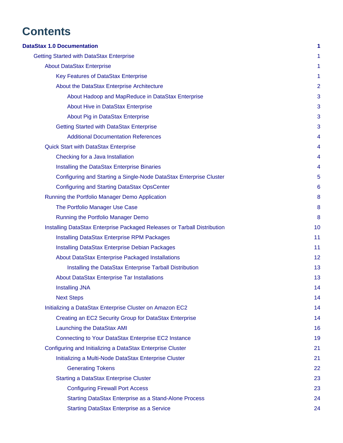# **Contents**

| <b>DataStax 1.0 Documentation</b>                                        | 1               |
|--------------------------------------------------------------------------|-----------------|
| <b>Getting Started with DataStax Enterprise</b>                          | 1               |
| <b>About DataStax Enterprise</b>                                         | 1               |
| Key Features of DataStax Enterprise                                      | 1               |
| About the DataStax Enterprise Architecture                               | $\overline{2}$  |
| About Hadoop and MapReduce in DataStax Enterprise                        | 3               |
| About Hive in DataStax Enterprise                                        | 3               |
| About Pig in DataStax Enterprise                                         | 3               |
| <b>Getting Started with DataStax Enterprise</b>                          | 3               |
| <b>Additional Documentation References</b>                               | 4               |
| <b>Quick Start with DataStax Enterprise</b>                              | 4               |
| Checking for a Java Installation                                         | 4               |
| Installing the DataStax Enterprise Binaries                              | 4               |
| Configuring and Starting a Single-Node DataStax Enterprise Cluster       | 5               |
| <b>Configuring and Starting DataStax OpsCenter</b>                       | $6\phantom{1}6$ |
| Running the Portfolio Manager Demo Application                           | 8               |
| The Portfolio Manager Use Case                                           | 8               |
| Running the Portfolio Manager Demo                                       | 8               |
| Installing DataStax Enterprise Packaged Releases or Tarball Distribution | 10              |
| <b>Installing DataStax Enterprise RPM Packages</b>                       | 11              |
| <b>Installing DataStax Enterprise Debian Packages</b>                    | 11              |
| About DataStax Enterprise Packaged Installations                         | 12              |
| Installing the DataStax Enterprise Tarball Distribution                  | 13              |
| About DataStax Enterprise Tar Installations                              | 13              |
| <b>Installing JNA</b>                                                    | 14              |
| <b>Next Steps</b>                                                        | 14              |
| Initializing a DataStax Enterprise Cluster on Amazon EC2                 | 14              |
| Creating an EC2 Security Group for DataStax Enterprise                   | 14              |
| Launching the DataStax AMI                                               | 16              |
| <b>Connecting to Your DataStax Enterprise EC2 Instance</b>               | 19              |
| Configuring and Initializing a DataStax Enterprise Cluster               | 21              |
| Initializing a Multi-Node DataStax Enterprise Cluster                    | 21              |
| <b>Generating Tokens</b>                                                 | 22              |
| <b>Starting a DataStax Enterprise Cluster</b>                            | 23              |
| <b>Configuring Firewall Port Access</b>                                  | 23              |
| <b>Starting DataStax Enterprise as a Stand-Alone Process</b>             | 24              |
| <b>Starting DataStax Enterprise as a Service</b>                         | 24              |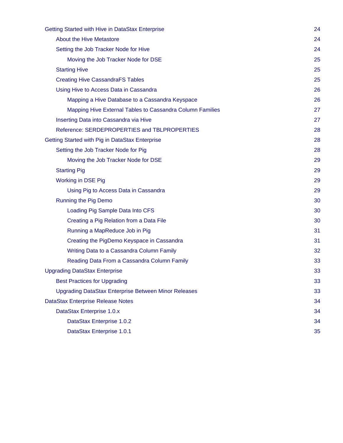| Getting Started with Hive in DataStax Enterprise            | 24 |
|-------------------------------------------------------------|----|
| <b>About the Hive Metastore</b>                             | 24 |
| Setting the Job Tracker Node for Hive                       | 24 |
| Moving the Job Tracker Node for DSE                         | 25 |
| <b>Starting Hive</b>                                        | 25 |
| <b>Creating Hive CassandraFS Tables</b>                     | 25 |
| Using Hive to Access Data in Cassandra                      | 26 |
| Mapping a Hive Database to a Cassandra Keyspace             | 26 |
| Mapping Hive External Tables to Cassandra Column Families   | 27 |
| Inserting Data into Cassandra via Hive                      | 27 |
| Reference: SERDEPROPERTIES and TBLPROPERTIES                | 28 |
| Getting Started with Pig in DataStax Enterprise             | 28 |
| Setting the Job Tracker Node for Pig                        | 28 |
| Moving the Job Tracker Node for DSE                         | 29 |
| <b>Starting Pig</b>                                         | 29 |
| <b>Working in DSE Pig</b>                                   | 29 |
| Using Pig to Access Data in Cassandra                       | 29 |
| <b>Running the Pig Demo</b>                                 | 30 |
| Loading Pig Sample Data Into CFS                            | 30 |
| Creating a Pig Relation from a Data File                    | 30 |
| Running a MapReduce Job in Pig                              | 31 |
| Creating the PigDemo Keyspace in Cassandra                  | 31 |
| Writing Data to a Cassandra Column Family                   | 32 |
| Reading Data From a Cassandra Column Family                 | 33 |
| <b>Upgrading DataStax Enterprise</b>                        | 33 |
| <b>Best Practices for Upgrading</b>                         | 33 |
| <b>Upgrading DataStax Enterprise Between Minor Releases</b> | 33 |
| DataStax Enterprise Release Notes                           | 34 |
| DataStax Enterprise 1.0.x                                   | 34 |
| DataStax Enterprise 1.0.2                                   | 34 |
| DataStax Enterprise 1.0.1                                   | 35 |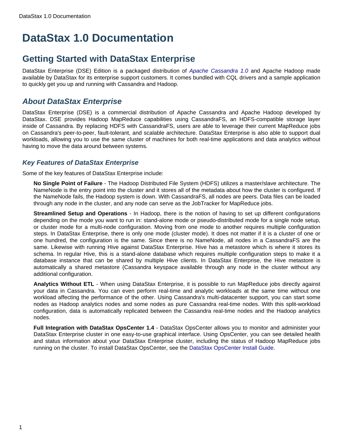# <span id="page-4-4"></span><span id="page-4-0"></span>**DataStax 1.0 Documentation**

## <span id="page-4-1"></span>**Getting Started with DataStax Enterprise**

DataStax Enterprise (DSE) Edition is a packaged distribution of [Apache Cassandra 1.0](#page-4-4) and Apache Hadoop made available by DataStax for its enterprise support customers. It comes bundled with CQL drivers and a sample application to quickly get you up and running with Cassandra and Hadoop.

## <span id="page-4-2"></span>**About DataStax Enterprise**

DataStax Enterprise (DSE) is a commercial distribution of Apache Cassandra and Apache Hadoop developed by DataStax. DSE provides Hadoop MapReduce capabilities using CassandraFS, an HDFS-compatible storage layer inside of Cassandra. By replacing HDFS with CassandraFS, users are able to leverage their current MapReduce jobs on Cassandra's peer-to-peer, fault-tolerant, and scalable architecture. DataStax Enterprise is also able to support dual workloads, allowing you to use the same cluster of machines for both real-time applications and data analytics without having to move the data around between systems.

## <span id="page-4-3"></span>**Key Features of DataStax Enterprise**

Some of the key features of DataStax Enterprise include:

**No Single Point of Failure** - The Hadoop Distributed File System (HDFS) utilizes a master/slave architecture. The NameNode is the entry point into the cluster and it stores all of the metadata about how the cluster is configured. If the NameNode fails, the Hadoop system is down. With CassandraFS, all nodes are peers. Data files can be loaded through any node in the cluster, and any node can serve as the JobTracker for MapReduce jobs.

**Streamlined Setup and Operations** - In Hadoop, there is the notion of having to set up different configurations depending on the mode you want to run in: stand-alone mode or pseudo-distributed mode for a single node setup, or cluster mode for a multi-node configuration. Moving from one mode to another requires multiple configuration steps. In DataStax Enterprise, there is only one mode (cluster mode). It does not matter if it is a cluster of one or one hundred, the configuration is the same. Since there is no NameNode, all nodes in a CassandraFS are the same. Likewise with running Hive against DataStax Enterprise. Hive has a metastore which is where it stores its schema. In regular Hive, this is a stand-alone database which requires multiple configuration steps to make it a database instance that can be shared by multiple Hive clients. In DataStax Enterprise, the Hive metastore is automatically a shared metastore (Cassandra keyspace available through any node in the cluster without any additional configuration.

**Analytics Without ETL** - When using DataStax Enterprise, it is possible to run MapReduce jobs directly against your data in Cassandra. You can even perform real-time and analytic workloads at the same time without one workload affecting the performance of the other. Using Cassandra's multi-datacenter support, you can start some nodes as Hadoop analytics nodes and some nodes as pure Cassandra real-time nodes. With this split-workload configuration, data is automatically replicated between the Cassandra real-time nodes and the Hadoop analytics nodes.

**Full Integration with DataStax OpsCenter 1.4** - DataStax OpsCenter allows you to monitor and administer your DataStax Enterprise cluster in one easy-to-use graphical interface. Using OpsCenter, you can see detailed health and status information about your DataStax Enterprise cluster, including the status of Hadoop MapReduce jobs running on the cluster. To install DataStax OpsCenter, see the [DataStax OpsCenter Install Guide.](http://www.datastax.com/docs/opscenter/index)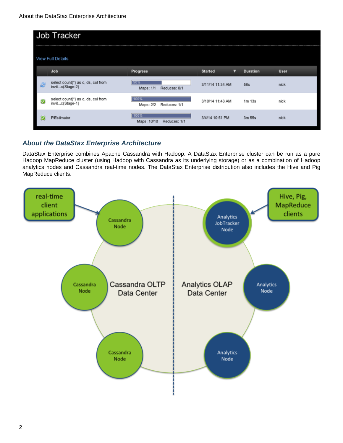| Job Tracker              |                                                       |                                     |                     |                 |             |  |  |
|--------------------------|-------------------------------------------------------|-------------------------------------|---------------------|-----------------|-------------|--|--|
| <b>View Full Details</b> |                                                       |                                     |                     |                 |             |  |  |
|                          | Job                                                   | Progress                            | <b>Started</b><br>▼ | <b>Duration</b> | <b>User</b> |  |  |
| E                        | select count(*) as c, ds, col from<br>invitc(Stage-2) | 50%<br>Maps: 1/1<br>Reduces: 0/1    | 3/11/14 11:34 AM    | 58s             | nick        |  |  |
| M                        | select count(*) as c, ds, col from<br>invitc(Stage-1) | 100%<br>Maps: 2/2 Reduces: 1/1      | 3/10/14 11:43 AM    | $1m$ 13s        | nick        |  |  |
|                          | PiEstimator                                           | 100%<br>Maps: 10/10<br>Reduces: 1/1 | 3/4/14 10:51 PM     | 3m 55s          | nick        |  |  |

## <span id="page-5-0"></span>**About the DataStax Enterprise Architecture**

DataStax Enterprise combines Apache Cassandra with Hadoop. A DataStax Enterprise cluster can be run as a pure Hadoop MapReduce cluster (using Hadoop with Cassandra as its underlying storage) or as a combination of Hadoop analytics nodes and Cassandra real-time nodes. The DataStax Enterprise distribution also includes the Hive and Pig MapReduce clients.

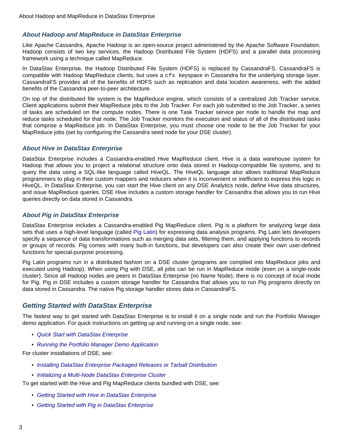## <span id="page-6-0"></span>**About Hadoop and MapReduce in DataStax Enterprise**

Like Apache Cassandra, Apache Hadoop is an open-source project administered by the Apache Software Foundation. Hadoop consists of two key services, the Hadoop Distributed File System (HDFS) and a parallel data processing framework using a technique called MapReduce.

In DataStax Enterprise, the Hadoop Distributed File System (HDFS) is replaced by CassandraFS. CassandraFS is compatible with Hadoop MapReduce clients, but uses a cfs keyspace in Cassandra for the underlying storage layer. CassandraFS provides all of the benefits of HDFS such as replication and data location awareness, with the added benefits of the Cassandra peer-to-peer architecture.

On top of the distributed file system is the MapReduce engine, which consists of a centralized Job Tracker service. Client applications submit their MapReduce jobs to the Job Tracker. For each job submitted to the Job Tracker, a series of tasks are scheduled on the compute nodes. There is one Task Tracker service per node to handle the map and reduce tasks scheduled for that node. The Job Tracker monitors the execution and status of all of the distributed tasks that comprise a MapReduce job. In DataStax Enterprise, you must choose one node to be the Job Tracker for your MapReduce jobs (set by configuring the Cassandra seed node for your DSE cluster).

#### <span id="page-6-1"></span>**About Hive in DataStax Enterprise**

DataStax Enterprise includes a Cassandra-enabled Hive MapReduce client. Hive is a data warehouse system for Hadoop that allows you to project a relational structure onto data stored in Hadoop-compatible file systems, and to query the data using a SQL-like language called HiveQL. The HiveQL language also allows traditional MapReduce programmers to plug in their custom mappers and reducers when it is inconvenient or inefficient to express this logic in HiveQL. In DataStax Enterprise, you can start the Hive client on any DSE Analytics node, define Hive data structures, and issue MapReduce queries. DSE Hive includes a custom storage handler for Cassandra that allows you to run Hive queries directly on data stored in Cassandra.

#### <span id="page-6-2"></span>**About Pig in DataStax Enterprise**

DataStax Enterprise includes a Cassandra-enabled Pig MapReduce client. Pig is a platform for analyzing large data sets that uses a high-level language (called [Pig Latin\)](http://pig.apache.org/docs/r0.8.0/piglatin_ref1.html) for expressing data analysis programs. Pig Latin lets developers specify a sequence of data transformations such as merging data sets, filtering them, and applying functions to records or groups of records. Pig comes with many built-in functions, but developers can also create their own user-defined functions for special-purpose processing.

Pig Latin programs run in a distributed fashion on a DSE cluster (programs are complied into MapReduce jobs and executed using Hadoop). When using Pig with DSE, all jobs can be run in MapReduce mode (even on a single-node cluster). Since all Hadoop nodes are peers in DataStax Enterprise (no Name Node), there is no concept of local mode for Pig. Pig in DSE includes a custom storage handler for Cassandra that allows you to run Pig programs directly on data stored in Cassandra. The native Pig storage handler stores data in CassandraFS.

## <span id="page-6-3"></span>**Getting Started with DataStax Enterprise**

The fastest way to get started with DataStax Enterprise is to install it on a single node and run the Portfolio Manager demo application. For quick instructions on getting up and running on a single node, see:

- [Quick Start with DataStax Enterprise](#page-7-4)
- [Running the Portfolio Manager Demo Application](#page-11-3)

For cluster installations of DSE, see:

- [Installing DataStax Enterprise Packaged Releases or Tarball Distribution](#page-13-1)
- [Initializing a Multi-Node DataStax Enterprise Cluster](#page-24-2)

To get started with the Hive and Pig MapReduce clients bundled with DSE, see:

- [Getting Started with Hive in DataStax Enterprise](#page-27-5)
- [Getting Started with Pig in DataStax Enterprise](#page-31-3)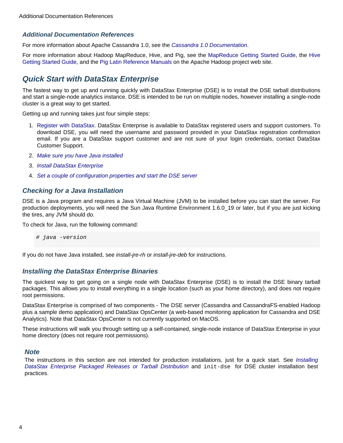#### <span id="page-7-0"></span>**Additional Documentation References**

For more information about Apache Cassandra 1.0, see the [Cassandra 1.0 Documentation](#page-4-4).

For more information about Hadoop MapReduce, Hive, and Pig, see the [MapReduce Getting Started Guide,](http://hadoop.apache.org/mapreduce/#Getting+Started) the [Hive](http://wiki.apache.org/hadoop/Hive/GettingStarted) [Getting Started Guide,](http://wiki.apache.org/hadoop/Hive/GettingStarted) and the [Pig Latin Reference Manuals o](http://pig.apache.org/docs/r0.8.0/piglatin_ref2.html)n the Apache Hadoop project web site.

## <span id="page-7-4"></span><span id="page-7-1"></span>**Quick Start with DataStax Enterprise**

The fastest way to get up and running quickly with DataStax Enterprise (DSE) is to install the DSE tarball distributions and start a single-node analytics instance. DSE is intended to be run on multiple nodes, however installing a single-node cluster is a great way to get started.

Getting up and running takes just four simple steps:

- 1. [Register with DataStax.](http://www.datastax.com/products/enterprise) DataStax Enterprise is available to DataStax registered users and support customers. To download DSE, you will need the username and password provided in your DataStax registration confirmation email. If you are a DataStax support customer and are not sure of your login credentials, contact DataStax Customer Support.
- 2. [Make sure you have Java installed](#page-7-5)
- 3. [Install DataStax Enterprise](#page-7-6)
- 4. [Set a couple of configuration properties and start the DSE server](#page-8-1)

### <span id="page-7-5"></span><span id="page-7-2"></span>**Checking for a Java Installation**

DSE is a Java program and requires a Java Virtual Machine (JVM) to be installed before you can start the server. For production deployments, you will need the Sun Java Runtime Environment 1.6.0\_19 or later, but if you are just kicking the tires, any JVM should do.

To check for Java, run the following command:

# java -version

If you do not have Java installed, see install-jre-rh or install-jre-deb for instructions.

#### <span id="page-7-6"></span><span id="page-7-3"></span>**Installing the DataStax Enterprise Binaries**

The quickest way to get going on a single node with DataStax Enterprise (DSE) is to install the DSE binary tarball packages. This allows you to install everything in a single location (such as your home directory), and does not require root permissions.

DataStax Enterprise is comprised of two components - The DSE server (Cassandra and CassandraFS-enabled Hadoop plus a sample demo application) and DataStax OpsCenter (a web-based monitoring application for Cassandra and DSE Analytics). Note that DataStax OpsCenter is not currently supported on MacOS.

These instructions will walk you through setting up a self-contained, single-node instance of DataStax Enterprise in your home directory (does not require root permissions).

#### **Note**

The instructions in this section are not intended for production installations, just for a quick start. See [Installing](#page-13-1) [DataStax Enterprise Packaged Releases or Tarball Distribution](#page-13-1) and init-dse for DSE cluster installation best practices.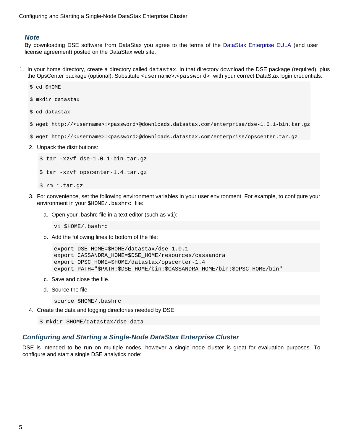### **Note**

\$ cd \$HOME

By downloading DSE software from DataStax you agree to the terms of the [DataStax Enterprise EULA](http://www.datastax.com/products/enterprise/eula) (end user license agreement) posted on the DataStax web site.

1. In your home directory, create a directory called datastax. In that directory download the DSE package (required), plus the OpsCenter package (optional). Substitute <username>:<password> with your correct DataStax login credentials.

```
$ mkdir datastax
$ cd datastax
$ wget http://<username>:<password>@downloads.datastax.com/enterprise/dse-1.0.1-bin.tar.gz
$ wget http://<username>:<password>@downloads.datastax.com/enterprise/opscenter.tar.gz
2. Unpack the distributions:
   $ tar -xzvf dse-1.0.1-bin.tar.gz
   $ tar -xzvf opscenter-1.4.tar.gz
   $ rm *.tar.gz
```
- 3. For convenience, set the following environment variables in your user environment. For example, to configure your environment in your \$HOME/.bashrc file:
	- a. Open your .bashrc file in a text editor (such as  $v_i$ ):
		- vi \$HOME/.bashrc
	- b. Add the following lines to bottom of the file:

```
export DSE_HOME=$HOME/datastax/dse-1.0.1
export CASSANDRA_HOME=$DSE_HOME/resources/cassandra
export OPSC HOME=$HOME/datastax/opscenter-1.4
export PATH="$PATH:$DSE_HOME/bin:$CASSANDRA_HOME/bin:$OPSC_HOME/bin"
```
- c. Save and close the file.
- d. Source the file.

source \$HOME/.bashrc

4. Create the data and logging directories needed by DSE.

\$ mkdir \$HOME/datastax/dse-data

#### <span id="page-8-1"></span><span id="page-8-0"></span>**Configuring and Starting a Single-Node DataStax Enterprise Cluster**

DSE is intended to be run on multiple nodes, however a single node cluster is great for evaluation purposes. To configure and start a single DSE analytics node: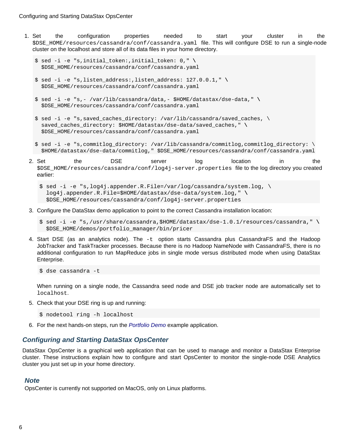- 1. Set the configuration properties needed to start your cluster in the \$DSE\_HOME/resources/cassandra/conf/cassandra.yaml file. This will configure DSE to run a single-node cluster on the localhost and store all of its data files in your home directory.
	- \$ sed -i -e "s,initial\_token:,initial\_token: 0," **\** \$DSE\_HOME/resources/cassandra/conf/cassandra.yaml
	- \$ sed -i -e "s,listen\_address:,listen\_address: 127.0.0.1," **\** \$DSE\_HOME/resources/cassandra/conf/cassandra.yaml
	- \$ sed -i -e "s,- /var/lib/cassandra/data,- \$HOME/datastax/dse-data," **\** \$DSE\_HOME/resources/cassandra/conf/cassandra.yaml
	- \$ sed -i -e "s,saved\_caches\_directory: /var/lib/cassandra/saved\_caches, \ saved\_caches\_directory: \$HOME/datastax/dse-data/saved\_caches," **\** \$DSE\_HOME/resources/cassandra/conf/cassandra.yaml
	- \$ sed -i -e "s,commitlog\_directory: /var/lib/cassandra/commitlog,commitlog\_directory: \ \$HOME/datastax/dse-data/commitlog," \$DSE\_HOME/resources/cassandra/conf/cassandra.yaml
	- 2. Set the DSE server log location in the \$DSE\_HOME/resources/cassandra/conf/log4j-server.properties file to the log directory you created earlier:
		- $$ sed -i -e$  "s,  $log4j.appender.R.File=/var/log/cassandra/system.log, \n$  log4j.appender.R.File=\$HOME/datastax/dse-data/system.log," **\** \$DSE\_HOME/resources/cassandra/conf/log4j-server.properties
	- 3. Configure the DataStax demo application to point to the correct Cassandra installation location:
		- \$ sed -i -e "s,/usr/share/cassandra,\$HOME/datastax/dse-1.0.1/resources/cassandra," **\** \$DSE\_HOME/demos/portfolio\_manager/bin/pricer
	- 4. Start DSE (as an analytics node). The -t option starts Cassandra plus CassandraFS and the Hadoop JobTracker and TaskTracker processes. Because there is no Hadoop NameNode with CassandraFS, there is no additional configuration to run MapReduce jobs in single mode versus distributed mode when using DataStax Enterprise.

\$ dse cassandra -t

When running on a single node, the Cassandra seed node and DSE job tracker node are automatically set to localhost.

5. Check that your DSE ring is up and running:

\$ nodetool ring -h localhost

6. For the next hands-on steps, run the [Portfolio Demo](#page-11-3) example application.

## <span id="page-9-0"></span>**Configuring and Starting DataStax OpsCenter**

DataStax OpsCenter is a graphical web application that can be used to manage and monitor a DataStax Enterprise cluster. These instructions explain how to configure and start OpsCenter to monitor the single-node DSE Analytics cluster you just set up in your home directory.

## **Note**

OpsCenter is currently not supported on MacOS, only on Linux platforms.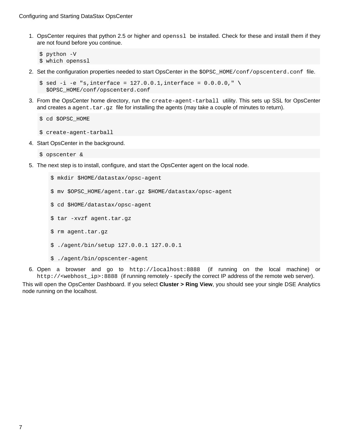- 1. OpsCenter requires that python 2.5 or higher and openssl be installed. Check for these and install them if they are not found before you continue.
	- \$ python -V \$ which openssl
- 2. Set the configuration properties needed to start OpsCenter in the \$OPSC\_HOME/conf/opscenterd.conf file.

```
$ sed -i -e "s,interface = 127.0.0.1,interface = 0.0.0.0," \
  $OPSC_HOME/conf/opscenterd.conf
```
3. From the OpsCenter home directory, run the create-agent-tarball utility. This sets up SSL for OpsCenter and creates a  $agent.txt.get$  file for installing the agents (may take a couple of minutes to return).

```
$ cd $OPSC_HOME
```
- \$ create-agent-tarball
- 4. Start OpsCenter in the background.

```
$ opscenter &
```
5. The next step is to install, configure, and start the OpsCenter agent on the local node.

\$ mkdir \$HOME/datastax/opsc-agent \$ mv \$OPSC\_HOME/agent.tar.gz \$HOME/datastax/opsc-agent \$ cd \$HOME/datastax/opsc-agent \$ tar -xvzf agent.tar.gz \$ rm agent.tar.gz \$ ./agent/bin/setup 127.0.0.1 127.0.0.1 \$ ./agent/bin/opscenter-agent

6. Open a browser and go to http://localhost:8888 (if running on the local machine) or http://<webhost\_ip>:8888 (if running remotely - specify the correct IP address of the remote web server).

This will open the OpsCenter Dashboard. If you select **Cluster > Ring View**, you should see your single DSE Analytics node running on the localhost.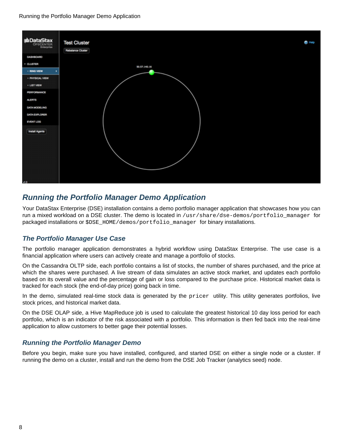Running the Portfolio Manager Demo Application



## <span id="page-11-3"></span><span id="page-11-0"></span>**Running the Portfolio Manager Demo Application**

Your DataStax Enterprise (DSE) installation contains a demo portfolio manager application that showcases how you can run a mixed workload on a DSE cluster. The demo is located in /usr/share/dse-demos/portfolio\_manager for packaged installations or \$DSE\_HOME/demos/portfolio\_manager for binary installations.

## <span id="page-11-1"></span>**The Portfolio Manager Use Case**

The portfolio manager application demonstrates a hybrid workflow using DataStax Enterprise. The use case is a financial application where users can actively create and manage a portfolio of stocks.

On the Cassandra OLTP side, each portfolio contains a list of stocks, the number of shares purchased, and the price at which the shares were purchased. A live stream of data simulates an active stock market, and updates each portfolio based on its overall value and the percentage of gain or loss compared to the purchase price. Historical market data is tracked for each stock (the end-of-day price) going back in time.

In the demo, simulated real-time stock data is generated by the pricer utility. This utility generates portfolios, live stock prices, and historical market data.

On the DSE OLAP side, a Hive MapReduce job is used to calculate the greatest historical 10 day loss period for each portfolio, which is an indicator of the risk associated with a portfolio. This information is then fed back into the real-time application to allow customers to better gage their potential losses.

## <span id="page-11-2"></span>**Running the Portfolio Manager Demo**

Before you begin, make sure you have installed, configured, and started DSE on either a single node or a cluster. If running the demo on a cluster, install and run the demo from the DSE Job Tracker (analytics seed) node.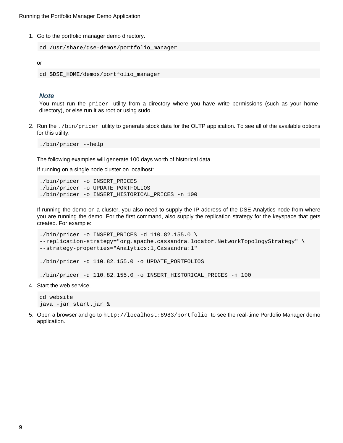1. Go to the portfolio manager demo directory.

```
cd /usr/share/dse-demos/portfolio_manager
```
or

```
cd $DSE_HOME/demos/portfolio_manager
```
#### **Note**

You must run the pricer utility from a directory where you have write permissions (such as your home directory), or else run it as root or using sudo.

2. Run the ./bin/pricer utility to generate stock data for the OLTP application. To see all of the available options for this utility:

./bin/pricer --help

The following examples will generate 100 days worth of historical data.

If running on a single node cluster on localhost:

```
./bin/pricer -o INSERT_PRICES
./bin/pricer -o UPDATE_PORTFOLIOS
./bin/pricer -o INSERT_HISTORICAL_PRICES -n 100
```
If running the demo on a cluster, you also need to supply the IP address of the DSE Analytics node from where you are running the demo. For the first command, also supply the replication strategy for the keyspace that gets created. For example:

```
./bin/pricer -o INSERT_PRICES -d 110.82.155.0 \
--replication-strategy="org.apache.cassandra.locator.NetworkTopologyStrategy" \
--strategy-properties="Analytics:1,Cassandra:1"
./bin/pricer -d 110.82.155.0 -o UPDATE_PORTFOLIOS
./bin/pricer -d 110.82.155.0 -o INSERT_HISTORICAL_PRICES -n 100
```
4. Start the web service.

```
cd website
java -jar start.jar &
```
5. Open a browser and go to http://localhost:8983/portfolio to see the real-time Portfolio Manager demo application.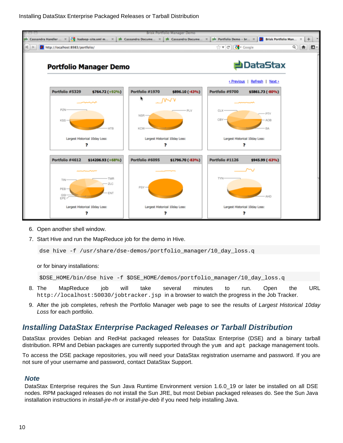

- 6. Open another shell window.
- 7. Start Hive and run the MapReduce job for the demo in Hive.

```
dse hive -f /usr/share/dse-demos/portfolio manager/10 day loss.g
```
or for binary installations:

```
$DSE_HOME/bin/dse hive -f $DSE_HOME/demos/portfolio_manager/10_day_loss.q
```
- 8. The MapReduce job will take several minutes to run. Open the URL http://localhost:50030/jobtracker.jsp in a browser to watch the progress in the Job Tracker.
- 9. After the job completes, refresh the Portfolio Manager web page to see the results of Largest Historical 10day Loss for each portfolio.

## <span id="page-13-1"></span><span id="page-13-0"></span>**Installing DataStax Enterprise Packaged Releases or Tarball Distribution**

DataStax provides Debian and RedHat packaged releases for DataStax Enterprise (DSE) and a binary tarball distribution. RPM and Debian packages are currently supported through the yum and apt package management tools.

To access the DSE package repositories, you will need your DataStax registration username and password. If you are not sure of your username and password, contact DataStax Support.

#### **Note**

DataStax Enterprise requires the Sun Java Runtime Environment version 1.6.0\_19 or later be installed on all DSE nodes. RPM packaged releases do not install the Sun JRE, but most Debian packaged releases do. See the Sun Java installation instructions in *install-jre-rh* or *install-jre-deb* if you need help installing Java.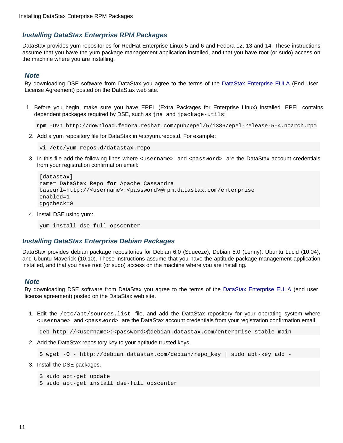### <span id="page-14-0"></span>**Installing DataStax Enterprise RPM Packages**

DataStax provides yum repositories for RedHat Enterprise Linux 5 and 6 and Fedora 12, 13 and 14. These instructions assume that you have the yum package management application installed, and that you have root (or sudo) access on the machine where you are installing.

### **Note**

By downloading DSE software from DataStax you agree to the terms of the [DataStax Enterprise EULA \(](http://www.datastax.com/products/enterprise/eula)End User License Agreement) posted on the DataStax web site.

1. Before you begin, make sure you have EPEL (Extra Packages for Enterprise Linux) installed. EPEL contains dependent packages required by DSE, such as jna and jpackage-utils:

```
rpm -Uvh http://download.fedora.redhat.com/pub/epel/5/i386/epel-release-5-4.noarch.rpm
```
2. Add a yum repository file for DataStax in /etc/yum.repos.d. For example:

```
vi /etc/yum.repos.d/datastax.repo
```
3. In this file add the following lines where <username> and <password> are the DataStax account credentials from your registration confirmation email:

```
[datastax]
name= DataStax Repo for Apache Cassandra
baseurl=http://<username>:<password>@rpm.datastax.com/enterprise
enabled=1
gpgcheck=0
```
4. Install DSE using yum:

```
yum install dse-full opscenter
```
#### <span id="page-14-1"></span>**Installing DataStax Enterprise Debian Packages**

DataStax provides debian package repositories for Debian 6.0 (Squeeze), Debian 5.0 (Lenny), Ubuntu Lucid (10.04), and Ubuntu Maverick (10.10). These instructions assume that you have the aptitude package management application installed, and that you have root (or sudo) access on the machine where you are installing.

#### **Note**

By downloading DSE software from DataStax you agree to the terms of the [DataStax Enterprise EULA](http://www.datastax.com/products/enterprise/eula) (end user license agreement) posted on the DataStax web site.

1. Edit the /etc/apt/sources.list file, and add the DataStax repository for your operating system where <username> and <password> are the DataStax account credentials from your registration confirmation email.

<span id="page-14-2"></span>deb http://<username>:<password>@debian.datastax.com/enterprise stable main

2. Add the DataStax repository key to your aptitude trusted keys.

```
$ wget -O - http://debian.datastax.com/debian/repo_key | sudo apt-key add -
```
3. Install the DSE packages.

```
$ sudo apt-get update
$ sudo apt-get install dse-full opscenter
```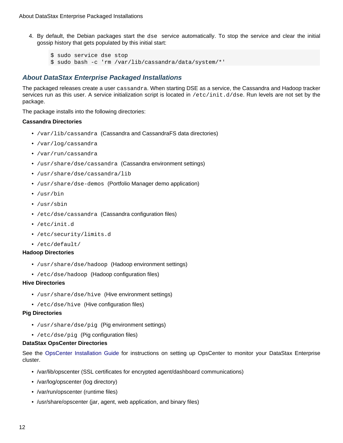4. By default, the Debian packages start the dse service automatically. To stop the service and clear the initial gossip history that gets populated by this initial start:

\$ sudo service dse stop \$ sudo bash -c 'rm /var/lib/cassandra/data/system/\*'

## <span id="page-15-0"></span>**About DataStax Enterprise Packaged Installations**

The packaged releases create a user cassandra. When starting DSE as a service, the Cassandra and Hadoop tracker services run as this user. A service initialization script is located in /etc/init.d/dse. Run levels are not set by the package.

The package installs into the following directories:

#### **Cassandra Directories**

- /var/lib/cassandra (Cassandra and CassandraFS data directories)
- /var/log/cassandra
- /var/run/cassandra
- /usr/share/dse/cassandra (Cassandra environment settings)
- /usr/share/dse/cassandra/lib
- /usr/share/dse-demos (Portfolio Manager demo application)
- /usr/bin
- /usr/sbin
- /etc/dse/cassandra (Cassandra configuration files)
- /etc/init.d
- /etc/security/limits.d
- /etc/default/

#### **Hadoop Directories**

- /usr/share/dse/hadoop (Hadoop environment settings)
- /etc/dse/hadoop (Hadoop configuration files)

#### **Hive Directories**

- /usr/share/dse/hive (Hive environment settings)
- /etc/dse/hive (Hive configuration files)

#### **Pig Directories**

- /usr/share/dse/pig (Pig environment settings)
- /etc/dse/pig (Pig configuration files)

#### **DataStax OpsCenter Directories**

See the [OpsCenter Installation Guide f](http://www.datastax.com/docs/opscenter/index)or instructions on setting up OpsCenter to monitor your DataStax Enterprise cluster.

- /var/lib/opscenter (SSL certificates for encrypted agent/dashboard communications)
- /var/log/opscenter (log directory)
- /var/run/opscenter (runtime files)
- /usr/share/opscenter (jar, agent, web application, and binary files)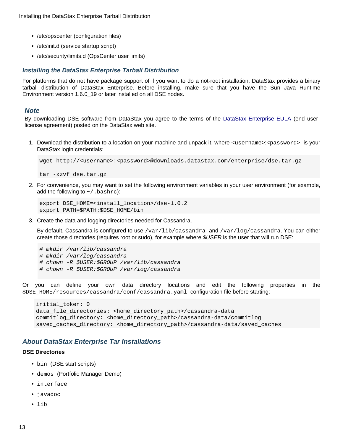- /etc/opscenter (configuration files)
- /etc/init.d (service startup script)
- /etc/security/limits.d (OpsCenter user limits)

#### <span id="page-16-2"></span><span id="page-16-0"></span>**Installing the DataStax Enterprise Tarball Distribution**

For platforms that do not have package support of if you want to do a not-root installation, DataStax provides a binary tarball distribution of DataStax Enterprise. Before installing, make sure that you have the Sun Java Runtime Environment version 1.6.0\_19 or later installed on all DSE nodes.

#### **Note**

By downloading DSE software from DataStax you agree to the terms of the [DataStax Enterprise EULA](http://www.datastax.com/products/enterprise/eula) (end user license agreement) posted on the DataStax web site.

1. Download the distribution to a location on your machine and unpack it, where <username>:<password> is your DataStax login credentials:

```
wget http://<username>:<password>@downloads.datastax.com/enterprise/dse.tar.gz
```
tar -xzvf dse.tar.gz

2. For convenience, you may want to set the following environment variables in your user environment (for example, add the following to  $\sim$  / . bashrc):

```
export DSE_HOME=<install_location>/dse-1.0.2
export PATH=$PATH:$DSE_HOME/bin
```
3. Create the data and logging directories needed for Cassandra.

By default, Cassandra is configured to use /var/lib/cassandra and /var/log/cassandra. You can either create those directories (requires root or sudo), for example where \$USER is the user that will run DSE:

```
# mkdir /var/lib/cassandra
# mkdir /var/log/cassandra
# chown -R $USER:$GROUP /var/lib/cassandra
# chown -R $USER:$GROUP /var/log/cassandra
```
Or you can define your own data directory locations and edit the following properties in the \$DSE\_HOME/resources/cassandra/conf/cassandra.yaml configuration file before starting:

```
initial_token: 0
data_file_directories: <home_directory_path>/cassandra-data
commitlog_directory: <home_directory_path>/cassandra-data/commitlog
saved_caches_directory: <home_directory_path>/cassandra-data/saved_caches
```
#### <span id="page-16-1"></span>**About DataStax Enterprise Tar Installations**

#### **DSE Directories**

- bin (DSE start scripts)
- demos (Portfolio Manager Demo)
- interface
- javadoc
- lib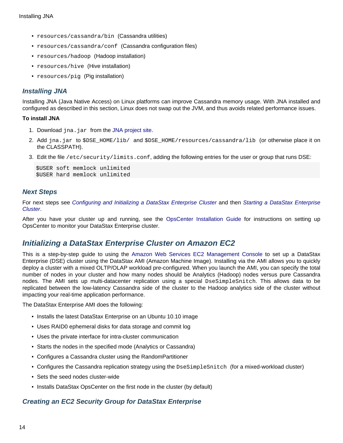- resources/cassandra/bin (Cassandra utilities)
- resources/cassandra/conf (Cassandra configuration files)
- resources/hadoop (Hadoop installation)
- resources/hive (Hive installation)
- resources/pig (Pig installation)

## <span id="page-17-0"></span>**Installing JNA**

Installing JNA (Java Native Access) on Linux platforms can improve Cassandra memory usage. With JNA installed and configured as described in this section, Linux does not swap out the JVM, and thus avoids related performance issues.

#### **To install JNA**

- 1. Download jna. jar from the [JNA project site.](http://java.net/projects/jna/sources/svn/show/trunk/jnalib/dist/)
- 2. Add jna.jar to \$DSE\_HOME/lib/ and \$DSE\_HOME/resources/cassandra/lib (or otherwise place it on the CLASSPATH).
- 3. Edit the file /etc/security/limits.conf, adding the following entries for the user or group that runs DSE:

```
$USER soft memlock unlimited
$USER hard memlock unlimited
```
## <span id="page-17-1"></span>**Next Steps**

For next steps see [Configuring and Initializing a DataStax Enterprise Cluster](#page-24-3) and then [Starting a DataStax Enterprise](#page-26-2) [Cluster](#page-26-2).

After you have your cluster up and running, see the [OpsCenter Installation Guide](http://www.datastax.com/docs/opscenter/index) for instructions on setting up OpsCenter to monitor your DataStax Enterprise cluster.

## <span id="page-17-2"></span>**Initializing a DataStax Enterprise Cluster on Amazon EC2**

This is a step-by-step guide to using the [Amazon Web Services EC2 Management Console t](http://aws.amazon.com/ec2)o set up a DataStax Enterprise (DSE) cluster using the DataStax AMI (Amazon Machine Image). Installing via the AMI allows you to quickly deploy a cluster with a mixed OLTP/OLAP workload pre-configured. When you launch the AMI, you can specify the total number of nodes in your cluster and how many nodes should be Analytics (Hadoop) nodes versus pure Cassandra nodes. The AMI sets up multi-datacenter replication using a special DseSimpleSnitch. This allows data to be replicated between the low-latency Cassandra side of the cluster to the Hadoop analytics side of the cluster without impacting your real-time application performance.

The DataStax Enterprise AMI does the following:

- Installs the latest DataStax Enterprise on an Ubuntu 10.10 image
- Uses RAID0 ephemeral disks for data storage and commit log
- Uses the private interface for intra-cluster communication
- Starts the nodes in the specified mode (Analytics or Cassandra)
- Configures a Cassandra cluster using the RandomPartitioner
- Configures the Cassandra replication strategy using the DseSimpleSnitch (for a mixed-workload cluster)
- Sets the seed nodes cluster-wide
- Installs DataStax OpsCenter on the first node in the cluster (by default)

## <span id="page-17-3"></span>**Creating an EC2 Security Group for DataStax Enterprise**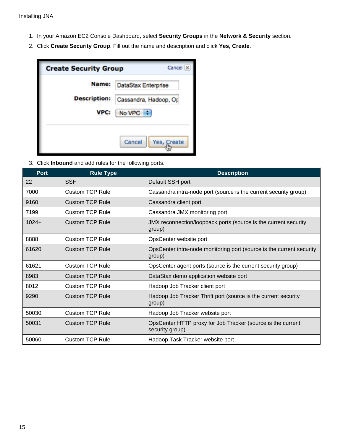- 1. In your Amazon EC2 Console Dashboard, select **Security Groups** in the **Network & Security** section.
- 2. Click **Create Security Group**. Fill out the name and description and click **Yes, Create**.

| Cancel X<br><b>Create Security Group</b> |                       |  |  |  |
|------------------------------------------|-----------------------|--|--|--|
| Name:                                    | DataStax Enterprise   |  |  |  |
| <b>Description:</b>                      | Cassandra, Hadoop, Or |  |  |  |
| VPC:                                     | $No VPC$ :            |  |  |  |
|                                          |                       |  |  |  |
|                                          | Cancel<br>Yes, Create |  |  |  |

3. Click **Inbound** and add rules for the following ports.

| <b>Port</b> | <b>Rule Type</b>       | <b>Description</b>                                                             |
|-------------|------------------------|--------------------------------------------------------------------------------|
| 22          | <b>SSH</b>             | Default SSH port                                                               |
| 7000        | <b>Custom TCP Rule</b> | Cassandra intra-node port (source is the current security group)               |
| 9160        | <b>Custom TCP Rule</b> | Cassandra client port                                                          |
| 7199        | <b>Custom TCP Rule</b> | Cassandra JMX monitoring port                                                  |
| $1024+$     | <b>Custom TCP Rule</b> | JMX reconnection/loopback ports (source is the current security<br>group)      |
| 8888        | Custom TCP Rule        | OpsCenter website port                                                         |
| 61620       | <b>Custom TCP Rule</b> | OpsCenter intra-node monitoring port (source is the current security<br>group) |
| 61621       | <b>Custom TCP Rule</b> | OpsCenter agent ports (source is the current security group)                   |
| 8983        | <b>Custom TCP Rule</b> | DataStax demo application website port                                         |
| 8012        | <b>Custom TCP Rule</b> | Hadoop Job Tracker client port                                                 |
| 9290        | Custom TCP Rule        | Hadoop Job Tracker Thrift port (source is the current security<br>group)       |
| 50030       | Custom TCP Rule        | Hadoop Job Tracker website port                                                |
| 50031       | <b>Custom TCP Rule</b> | OpsCenter HTTP proxy for Job Tracker (source is the current<br>security group) |
| 50060       | <b>Custom TCP Rule</b> | Hadoop Task Tracker website port                                               |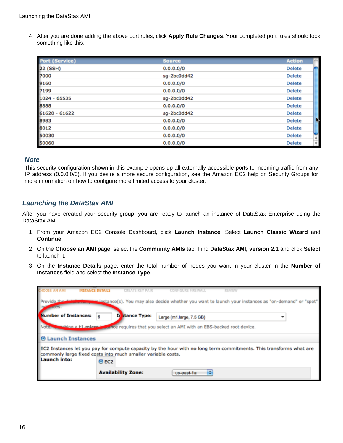4. After you are done adding the above port rules, click **Apply Rule Changes**. Your completed port rules should look something like this:

| <b>Port (Service)</b> | <b>Source</b> | <b>Action</b> |
|-----------------------|---------------|---------------|
| 22 (SSH)              | 0.0.0.0/0     | Delete        |
| 7000                  | sg-2bc0dd42   | <b>Delete</b> |
| 9160                  | 0.0.0.0/0     | <b>Delete</b> |
| 7199                  | 0.0.0.0/0     | Delete        |
| 1024 - 65535          | sg-2bc0dd42   | Delete        |
| 8888                  | 0.0.0.0/0     | Delete        |
| 61620 - 61622         | sg-2bc0dd42   | <b>Delete</b> |
| 8983                  | 0.0.0.0/0     | <b>Delete</b> |
| 8012                  | 0.0.0.0/0     | <b>Delete</b> |
| 50030                 | 0.0.0.0/0     | Delete<br>۰   |
| 50060                 | 0.0.0.0/0     | ¥<br>Delete   |

#### **Note**

This security configuration shown in this example opens up all externally accessible ports to incoming traffic from any IP address (0.0.0.0/0). If you desire a more secure configuration, see the Amazon EC2 help on Security Groups for more information on how to configure more limited access to your cluster.

## <span id="page-19-0"></span>**Launching the DataStax AMI**

After you have created your security group, you are ready to launch an instance of DataStax Enterprise using the DataStax AMI.

- 1. From your Amazon EC2 Console Dashboard, click **Launch Instance**. Select **Launch Classic Wizard** and **Continue**.
- 2. On the **Choose an AMI** page, select the **Community AMIs** tab. Find **DataStax AMI, version 2.1** and click **Select** to launch it.
- 3. On the **Instance Details** page, enter the total number of nodes you want in your cluster in the **Number of Instances** field and select the **Instance Type**.

| <b>CHOOSE AN AMI</b>                 | <b>INSTANCE DETAILS</b>                                                             | <b>CREATE KEY PAIR</b>    | <b>CONFIGURE FIREWALL</b>                                                     | <b>REVIEW</b>                                                                                                      |  |
|--------------------------------------|-------------------------------------------------------------------------------------|---------------------------|-------------------------------------------------------------------------------|--------------------------------------------------------------------------------------------------------------------|--|
| Provide the<br>Ine<br><b>LATICOS</b> |                                                                                     |                           |                                                                               | n instance(s). You may also decide whether you want to launch your instances as "on-demand" or "spot"              |  |
| <b>Number of Instances:</b>          | т<br>6                                                                              | stance Type:              | Large (m1.large, 7.5 GB)                                                      |                                                                                                                    |  |
| Note <sub>r</sub>                    | <b>Mahing a t1 micro-in</b>                                                         |                           | <b>Reance</b> requires that you select an AMI with an EBS-backed root device. |                                                                                                                    |  |
| $\Theta$ Launch Instances            |                                                                                     |                           |                                                                               |                                                                                                                    |  |
| Launch into:                         | commonly large fixed costs into much smaller variable costs.<br>$O$ EC <sub>2</sub> |                           |                                                                               | EC2 Instances let you pay for compute capacity by the hour with no long term commitments. This transforms what are |  |
|                                      |                                                                                     | <b>Availability Zone:</b> | ٠<br>$us$ -east-1a                                                            |                                                                                                                    |  |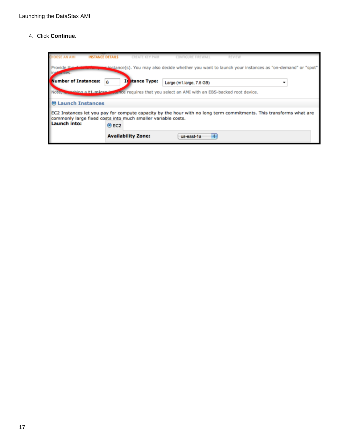4. Click **Continue**.

| <b>CHOOSE AN AMI</b>             | <b>INSTANCE DETAILS</b><br><b>CREATE KEY PAIR</b>                                   | CONFIGURE FIREWALL<br><b>REVIEW</b>                                                                                |
|----------------------------------|-------------------------------------------------------------------------------------|--------------------------------------------------------------------------------------------------------------------|
| Provide the                      |                                                                                     | lestance(s). You may also decide whether you want to launch your instances as "on-demand" or "spot"                |
| <b>Number of Instances:</b><br>r | stance Type:<br>ю<br>6                                                              | Large (m1.large, 7.5 GB)                                                                                           |
| <b>Meking a t1 micro-</b>        |                                                                                     | sence requires that you select an AMI with an EBS-backed root device.                                              |
| $\Box$ Launch Instances          |                                                                                     |                                                                                                                    |
| Launch into:                     | commonly large fixed costs into much smaller variable costs.<br>$O$ EC <sub>2</sub> | EC2 Instances let you pay for compute capacity by the hour with no long term commitments. This transforms what are |
|                                  | <b>Availability Zone:</b>                                                           | us-east-1a                                                                                                         |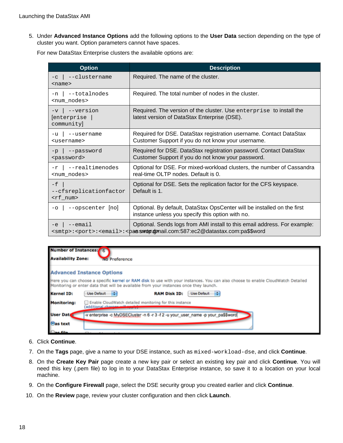5. Under **Advanced Instance Options** add the following options to the **User Data** section depending on the type of cluster you want. Option parameters cannot have spaces.

For new DataStax Enterprise clusters the available options are:

| <b>Option</b>                                     | <b>Description</b>                                                                                                                                                                                                                     |
|---------------------------------------------------|----------------------------------------------------------------------------------------------------------------------------------------------------------------------------------------------------------------------------------------|
| $-c$ --clustername<br>$<$ name $>$                | Required. The name of the cluster.                                                                                                                                                                                                     |
| --totalnodes<br>$-n$  <br><num_nodes></num_nodes> | Required. The total number of nodes in the cluster.                                                                                                                                                                                    |
| $-v$   $-version$<br>[enterprise  <br>community]  | Required. The version of the cluster. Use enterprise to install the<br>latest version of DataStax Enterprise (DSE).                                                                                                                    |
| -u   --username<br>$username$                     | Required for DSE. DataStax registration username. Contact DataStax<br>Customer Support if you do not know your username.                                                                                                               |
| -p   --password<br><password></password>          | Required for DSE. DataStax registration password. Contact DataStax<br>Customer Support if you do not know your password.                                                                                                               |
| $-r$   --realtimenodes<br><num_nodes></num_nodes> | Optional for DSE. For mixed-workload clusters, the number of Cassandra<br>real-time OLTP nodes. Default is 0.                                                                                                                          |
| $-f$<br>--cfsreplicationfactor<br>$<$ rf_num $>$  | Optional for DSE. Sets the replication factor for the CFS keyspace.<br>Default is 1.                                                                                                                                                   |
| -o   --opscenter [no]                             | Optional. By default, DataStax OpsCenter will be installed on the first<br>instance unless you specify this option with no.                                                                                                            |
| $--$ email<br>$-e$                                | Optional. Sends logs from AMI install to this email address. For example:<br><smtp>:<port>:<email>:<passmotemail.com:587:ec2@datastax.com:pa\$\$word< td=""></passmotemail.com:587:ec2@datastax.com:pa\$\$word<></email></port></smtp> |

| Number of Instances: 6<br><b>Availability Zone:</b><br><b>NO Preference</b> |                                                                                                                                                                                                                          |  |  |  |  |
|-----------------------------------------------------------------------------|--------------------------------------------------------------------------------------------------------------------------------------------------------------------------------------------------------------------------|--|--|--|--|
|                                                                             | <b>Advanced Instance Options</b>                                                                                                                                                                                         |  |  |  |  |
|                                                                             | Here you can choose a specific kernel or RAM disk to use with your instances. You can also choose to enable CloudWatch Detailed<br>Monitoring or enter data that will be available from your instances once they launch. |  |  |  |  |
| <b>Kernel ID:</b>                                                           | <b>Use Default</b><br><b>RAM Disk ID:</b><br>Use Default                                                                                                                                                                 |  |  |  |  |
| <b>Monitoring:</b>                                                          | Enable CloudWatch detailed monitoring for this instance<br>additional charges will                                                                                                                                       |  |  |  |  |
| <b>User Data</b>                                                            | -v enterprise -c MyDSECluster -n 6 -r 3 -f 2 -u your_user_name -p your_pa\$\$word                                                                                                                                        |  |  |  |  |
| as text                                                                     |                                                                                                                                                                                                                          |  |  |  |  |
| ملئة                                                                        |                                                                                                                                                                                                                          |  |  |  |  |

- 6. Click **Continue**.
- 7. On the **Tags** page, give a name to your DSE instance, such as mixed-workload-dse, and click **Continue**.
- 8. On the **Create Key Pair** page create a new key pair or select an existing key pair and click **Continue**. You will need this key (.pem file) to log in to your DataStax Enterprise instance, so save it to a location on your local machine.
- 9. On the **Configure Firewall** page, select the DSE security group you created earlier and click **Continue**.
- 10. On the **Review** page, review your cluster configuration and then click **Launch**.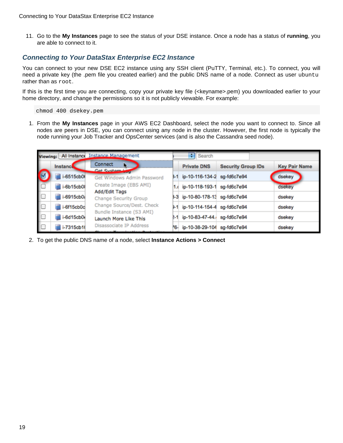11. Go to the **My Instances** page to see the status of your DSE instance. Once a node has a status of **running**, you are able to connect to it.

## <span id="page-22-0"></span>**Connecting to Your DataStax Enterprise EC2 Instance**

You can connect to your new DSE EC2 instance using any SSH client (PuTTY, Terminal, etc.). To connect, you will need a private key (the .pem file you created earlier) and the public DNS name of a node. Connect as user ubuntu rather than as root.

If this is the first time you are connecting, copy your private key file (<keyname>.pem) you downloaded earlier to your home directory, and change the permissions so it is not publicly viewable. For example:

chmod 400 dsekey.pem

1. From the **My Instances** page in your AWS EC2 Dashboard, select the node you want to connect to. Since all nodes are peers in DSE, you can connect using any node in the cluster. However, the first node is typically the node running your Job Tracker and OpsCenter services (and is also the Cassandra seed node).

|    |                                         | Viewing: All Instance Instance Management                           | $\left\vert \cdot\right\vert$ Search |                                 |                           |                      |
|----|-----------------------------------------|---------------------------------------------------------------------|--------------------------------------|---------------------------------|---------------------------|----------------------|
|    | Instance                                | Connect<br><b>Get System L</b>                                      |                                      | <b>Private DNS</b>              | <b>Security Group IDs</b> | <b>Key Pair Name</b> |
| O  | i-6515cb0(                              | Get Windows Admin Password                                          | 8-1                                  | ip-10-116-134-2 sg-fd6c7e94     |                           | dsekey               |
|    | $\blacksquare$ i-6b15cb0 $\blacksquare$ | Create Image (EBS AMI)                                              |                                      | 1. ip-10-118-193-1 sg-fd6c7e94  |                           | dsekey               |
|    | i-6915cb0a                              | Add/Edit Tags<br>Change Security Group<br>Change Source/Dest. Check |                                      | 3-3 ip-10-80-178-13 sg-fd6c7e94 |                           | dsekey               |
|    | i-6f15cb0c                              |                                                                     | 9-1.                                 | ip-10-114-154-4 sg-fd6c7e94     |                           | dsekey               |
| ∎⊡ | i-6d15cb0e                              | Bundle Instance (S3 AMI)<br>Launch More Like This                   | 2-1                                  | ip-10-83-47-44.                 | sg-fd6c7e94               | dsekey               |
|    | i-7315cb1(                              | Disassociate IP Address                                             | 76-                                  | ip-10-38-29-104 sg-fd6c7e94     |                           | dsekey               |

2. To get the public DNS name of a node, select **Instance Actions > Connect**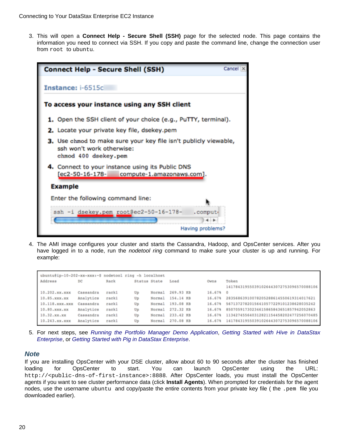3. This will open a **Connect Help - Secure Shell (SSH)** page for the selected node. This page contains the information you need to connect via SSH. If you copy and paste the command line, change the connection user from root to ubuntu.

| <b>Connect Help - Secure Shell (SSH)</b>                                                                              | Cancel X |  |  |  |  |
|-----------------------------------------------------------------------------------------------------------------------|----------|--|--|--|--|
| <b>Instance: i-6515cl</b>                                                                                             |          |  |  |  |  |
| To access your instance using any SSH client                                                                          |          |  |  |  |  |
| 1. Open the SSH client of your choice (e.g., PuTTY, terminal).                                                        |          |  |  |  |  |
| 2. Locate your private key file, dsekey.pem                                                                           |          |  |  |  |  |
| 3. Use chmod to make sure your key file isn't publicly viewable,<br>ssh won't work otherwise:<br>chmod 400 dsekey.pem |          |  |  |  |  |
| 4. Connect to your instance using its Public DNS<br>[ec2-50-16-178- compute-1.amazonaws.com].                         |          |  |  |  |  |
| <b>Example</b>                                                                                                        |          |  |  |  |  |
| Enter the following command line:                                                                                     |          |  |  |  |  |
| ssh -i dsekey.pem root@ec2-50-16-178-<br>.compute<br>Having problems?                                                 |          |  |  |  |  |
|                                                                                                                       |          |  |  |  |  |

4. The AMI image configures your cluster and starts the Cassandra, Hadoop, and OpsCenter services. After you have logged in to a node, run the nodetool ring command to make sure your cluster is up and running. For example:

| ubuntu@ip-10-202-xx-xxx:-\$ nodetool ring -h localhost |           |       |    |              |           |          |                                         |
|--------------------------------------------------------|-----------|-------|----|--------------|-----------|----------|-----------------------------------------|
| Address                                                | DC        | Rack  |    | Status State | Load      | Owns     | Token                                   |
|                                                        |           |       |    |              |           |          | 141784319550391026443072753096570088106 |
| 10.202.xx.xxx                                          | Cassandra | rack1 | Up | Normal       | 269.93 KB | 16.67% 0 |                                         |
| 10.85.xxx.xx                                           | Analytics | rack1 | Up | Normal       | 154.14 KB | 16.67%   | 28356863910078205288614550619314017621  |
| 10.118.xxx.xxx                                         | Cassandra | rack1 | Up | Normal       | 193.08 KB | 16.67%   | 56713727820156410577229101238628035242  |
| 10.80.xxx.xx                                           | Analytics | rack1 | Up | Normal       | 272.32 KB | 16.67%   | 85070591730234615865843651857942052863  |
| 10.32.xx.xx                                            | Cassandra | rack1 | Up | Normal       | 233.42 KB | 16.67%   | 113427455640312821154458202477256070485 |
| 10.243.xx.xxx                                          | Analytics | rack1 | Up | Normal       | 270.08 KB | 16.67%   | 141784319550391026443072753096570088106 |

5. For next steps, see [Running the Portfolio Manager Demo Application](#page-11-3), [Getting Started with Hive in DataStax](#page-27-5) [Enterprise](#page-27-5), or [Getting Started with Pig in DataStax Enterprise](#page-31-3).

#### **Note**

If you are installing OpsCenter with your DSE cluster, allow about 60 to 90 seconds after the cluster has finished loading for OpsCenter to start. You can launch OpsCenter using the URL: http://<public-dns-of-first-instance>:8888. After OpsCenter loads, you must install the OpsCenter agents if you want to see cluster performance data (click **Install Agents**). When prompted for credentials for the agent nodes, use the username ubuntu and copy/paste the entire contents from your private key file ( the .pem file you downloaded earlier).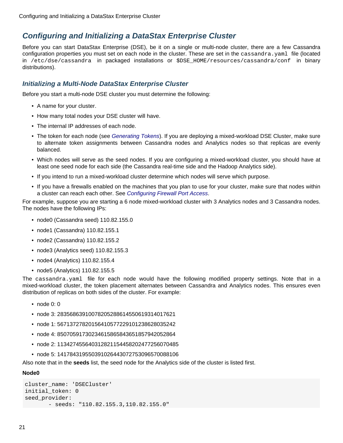## <span id="page-24-3"></span><span id="page-24-0"></span>**Configuring and Initializing a DataStax Enterprise Cluster**

Before you can start DataStax Enterprise (DSE), be it on a single or multi-node cluster, there are a few Cassandra configuration properties you must set on each node in the cluster. These are set in the cassandra.yaml file (located in /etc/dse/cassandra in packaged installations or \$DSE\_HOME/resources/cassandra/conf in binary distributions).

## <span id="page-24-2"></span><span id="page-24-1"></span>**Initializing a Multi-Node DataStax Enterprise Cluster**

Before you start a multi-node DSE cluster you must determine the following:

- A name for your cluster.
- How many total nodes your DSE cluster will have.
- The internal IP addresses of each node.
- The token for each node (see [Generating Tokens](#page-25-1)). If you are deploying a mixed-workload DSE Cluster, make sure to alternate token assignments between Cassandra nodes and Analytics nodes so that replicas are evenly balanced.
- Which nodes will serve as the seed nodes. If you are configuring a mixed-workload cluster, you should have at least one seed node for each side (the Cassandra real-time side and the Hadoop Analytics side).
- If you intend to run a mixed-workload cluster determine which nodes will serve which purpose.
- If you have a firewalls enabled on the machines that you plan to use for your cluster, make sure that nodes within a cluster can reach each other. See [Configuring Firewall Port Access](#page-26-3).

For example, suppose you are starting a 6 node mixed-workload cluster with 3 Analytics nodes and 3 Cassandra nodes. The nodes have the following IPs:

- node0 (Cassandra seed) 110.82.155.0
- node1 (Cassandra) 110.82.155.1
- node2 (Cassandra) 110.82.155.2
- node3 (Analytics seed) 110.82.155.3
- node4 (Analytics) 110.82.155.4
- node5 (Analytics) 110.82.155.5

The cassandra.yaml file for each node would have the following modified property settings. Note that in a mixed-workload cluster, the token placement alternates between Cassandra and Analytics nodes. This ensures even distribution of replicas on both sides of the cluster. For example:

- node 0: 0
- node 3: 28356863910078205288614550619314017621
- node 1: 56713727820156410577229101238628035242
- node 4: 85070591730234615865843651857942052864
- node 2: 113427455640312821154458202477256070485
- node 5: 141784319550391026443072753096570088106

Also note that in the **seeds** list, the seed node for the Analytics side of the cluster is listed first.

#### **Node0**

```
cluster_name: 'DSECluster'
initial_token: 0
seed_provider:
       - seeds: "110.82.155.3,110.82.155.0"
```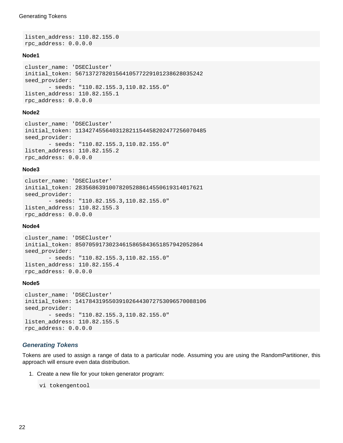```
listen_address: 110.82.155.0
rpc_address: 0.0.0.0
```
#### **Node1**

```
cluster_name: 'DSECluster'
initial_token: 56713727820156410577229101238628035242
seed_provider:
        - seeds: "110.82.155.3,110.82.155.0"
listen_address: 110.82.155.1
rpc_address: 0.0.0.0
```
#### **Node2**

```
cluster name: 'DSECluster'
initial_token: 113427455640312821154458202477256070485
seed_provider:
        - seeds: "110.82.155.3,110.82.155.0"
listen_address: 110.82.155.2
rpc_address: 0.0.0.0
```
#### **Node3**

```
cluster_name: 'DSECluster'
initial_token: 28356863910078205288614550619314017621
seed_provider:
        - seeds: "110.82.155.3,110.82.155.0"
listen_address: 110.82.155.3
rpc_address: 0.0.0.0
```
#### **Node4**

```
cluster name: 'DSECluster'
initial_token: 85070591730234615865843651857942052864
seed_provider:
        - seeds: "110.82.155.3,110.82.155.0"
listen_address: 110.82.155.4
rpc_address: 0.0.0.0
```
#### **Node5**

```
cluster_name: 'DSECluster'
initial_token: 141784319550391026443072753096570088106
seed_provider:
        - seeds: "110.82.155.3,110.82.155.0"
listen_address: 110.82.155.5
rpc_address: 0.0.0.0
```
#### <span id="page-25-1"></span><span id="page-25-0"></span>**Generating Tokens**

Tokens are used to assign a range of data to a particular node. Assuming you are using the RandomPartitioner, this approach will ensure even data distribution.

1. Create a new file for your token generator program:

vi tokengentool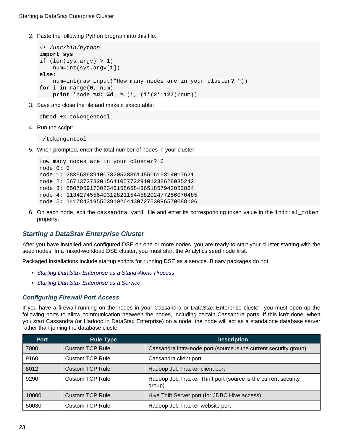2. Paste the following Python program into this file:

```
#! /usr/bin/python
import sys
if (len(sys.argv) > 1):
     num=int(sys.argv[1])
else:
     num=int(raw_input("How many nodes are in your cluster? "))
for i in range(0, num):
     print 'node %d: %d' % (i, (i*(2**127)/num))
```
3. Save and close the file and make it executable:

```
chmod +x tokengentool
```
4. Run the script:

./tokengentool

5. When prompted, enter the total number of nodes in your cluster:

```
How many nodes are in your cluster? 6
node 0: 0
node 1: 28356863910078205288614550619314017621
node 2: 56713727820156410577229101238628035242
node 3: 85070591730234615865843651857942052864
node 4: 113427455640312821154458202477256070485
node 5: 141784319550391026443072753096570088106
```
6. On each node, edit the cassandra.yaml file and enter its corresponding token value in the initial\_token property.

#### <span id="page-26-2"></span><span id="page-26-0"></span>**Starting a DataStax Enterprise Cluster**

After you have installed and configured DSE on one or more nodes, you are ready to start your cluster starting with the seed nodes. In a mixed-workload DSE cluster, you must start the Analytics seed node first.

Packaged installations include startup scripts for running DSE as a service. Binary packages do not.

- [Starting DataStax Enterprise as a Stand-Alone Process](#page-27-6)
- [Starting DataStax Enterprise as a Service](#page-27-7)

#### <span id="page-26-3"></span><span id="page-26-1"></span>**Configuring Firewall Port Access**

If you have a firewall running on the nodes in your Cassandra or DataStax Enterprise cluster, you must open up the following ports to allow communication between the nodes, including certain Cassandra ports. If this isn't done, when you start Cassandra (or Hadoop in DataStax Enterprise) on a node, the node will act as a standalone database server rather than joining the database cluster.

| <b>Port</b> | <b>Rule Type</b>       | <b>Description</b>                                                       |
|-------------|------------------------|--------------------------------------------------------------------------|
| 7000        | <b>Custom TCP Rule</b> | Cassandra intra-node port (source is the current security group)         |
| 9160        | Custom TCP Rule        | Cassandra client port                                                    |
| 8012        | Custom TCP Rule        | Hadoop Job Tracker client port                                           |
| 9290        | Custom TCP Rule        | Hadoop Job Tracker Thrift port (source is the current security<br>group) |
| 10000       | Custom TCP Rule        | Hive Thift Server port (for JDBC Hive access)                            |
| 50030       | <b>Custom TCP Rule</b> | Hadoop Job Tracker website port                                          |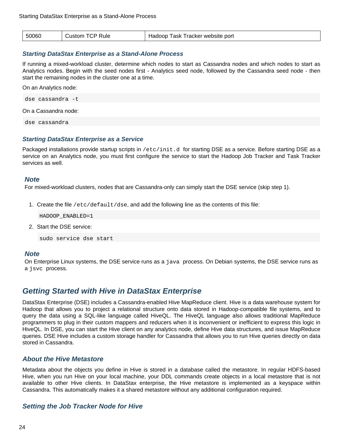| 50060 | <b>TCP Rule</b><br>−ustomٽ | Task Tracker website port<br>Hadoop |
|-------|----------------------------|-------------------------------------|
|-------|----------------------------|-------------------------------------|

#### <span id="page-27-6"></span><span id="page-27-0"></span>**Starting DataStax Enterprise as a Stand-Alone Process**

If running a mixed-workload cluster, determine which nodes to start as Cassandra nodes and which nodes to start as Analytics nodes. Begin with the seed nodes first - Analytics seed node, followed by the Cassandra seed node - then start the remaining nodes in the cluster one at a time.

On an Analytics node:

dse cassandra -t

On a Cassandra node:

dse cassandra

#### <span id="page-27-7"></span><span id="page-27-1"></span>**Starting DataStax Enterprise as a Service**

Packaged installations provide startup scripts in /etc/init.d for starting DSE as a service. Before starting DSE as a service on an Analytics node, you must first configure the service to start the Hadoop Job Tracker and Task Tracker services as well.

#### **Note**

For mixed-workload clusters, nodes that are Cassandra-only can simply start the DSE service (skip step 1).

1. Create the file  $/$ etc $/$ default $/$ dse, and add the following line as the contents of this file:

HADOOP\_ENABLED=1

2. Start the DSE service:

sudo service dse start

#### **Note**

On Enterprise Linux systems, the DSE service runs as a java process. On Debian systems, the DSE service runs as a jsvc process.

## <span id="page-27-5"></span><span id="page-27-2"></span>**Getting Started with Hive in DataStax Enterprise**

DataStax Enterprise (DSE) includes a Cassandra-enabled Hive MapReduce client. Hive is a data warehouse system for Hadoop that allows you to project a relational structure onto data stored in Hadoop-compatible file systems, and to query the data using a SQL-like language called HiveQL. The HiveQL language also allows traditional MapReduce programmers to plug in their custom mappers and reducers when it is inconvenient or inefficient to express this logic in HiveQL. In DSE, you can start the Hive client on any analytics node, define Hive data structures, and issue MapReduce queries. DSE Hive includes a custom storage handler for Cassandra that allows you to run Hive queries directly on data stored in Cassandra.

#### <span id="page-27-3"></span>**About the Hive Metastore**

Metadata about the objects you define in Hive is stored in a database called the metastore. In regular HDFS-based Hive, when you run Hive on your local machine, your DDL commands create objects in a local metastore that is not available to other Hive clients. In DataStax enterprise, the Hive metastore is implemented as a keyspace within Cassandra. This automatically makes it a shared metastore without any additional configuration required.

## <span id="page-27-4"></span>**Setting the Job Tracker Node for Hive**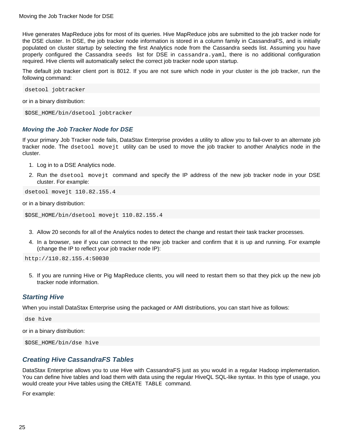Hive generates MapReduce jobs for most of its queries. Hive MapReduce jobs are submitted to the job tracker node for the DSE cluster. In DSE, the job tracker node information is stored in a column family in CassandraFS, and is initially populated on cluster startup by selecting the first Analytics node from the Cassandra seeds list. Assuming you have properly configured the Cassandra seeds list for DSE in cassandra.yaml, there is no additional configuration required. Hive clients will automatically select the correct job tracker node upon startup.

The default job tracker client port is 8012. If you are not sure which node in your cluster is the job tracker, run the following command:

dsetool jobtracker

or in a binary distribution:

\$DSE\_HOME/bin/dsetool jobtracker

#### <span id="page-28-0"></span>**Moving the Job Tracker Node for DSE**

If your primary Job Tracker node fails, DataStax Enterprise provides a utility to allow you to fail-over to an alternate job tracker node. The dsetool movejt utility can be used to move the job tracker to another Analytics node in the cluster.

- 1. Log in to a DSE Analytics node.
- 2. Run the dsetool movejt command and specify the IP address of the new job tracker node in your DSE cluster. For example:

dsetool movejt 110.82.155.4

or in a binary distribution:

```
$DSE_HOME/bin/dsetool movejt 110.82.155.4
```
- 3. Allow 20 seconds for all of the Analytics nodes to detect the change and restart their task tracker processes.
- 4. In a browser, see if you can connect to the new job tracker and confirm that it is up and running. For example (change the IP to reflect your job tracker node IP):

http://110.82.155.4:50030

5. If you are running Hive or Pig MapReduce clients, you will need to restart them so that they pick up the new job tracker node information.

#### <span id="page-28-1"></span>**Starting Hive**

When you install DataStax Enterprise using the packaged or AMI distributions, you can start hive as follows:

dse hive

or in a binary distribution:

```
$DSE_HOME/bin/dse hive
```
## <span id="page-28-2"></span>**Creating Hive CassandraFS Tables**

DataStax Enterprise allows you to use Hive with CassandraFS just as you would in a regular Hadoop implementation. You can define hive tables and load them with data using the regular HiveQL SQL-like syntax. In this type of usage, you would create your Hive tables using the CREATE TABLE command.

For example: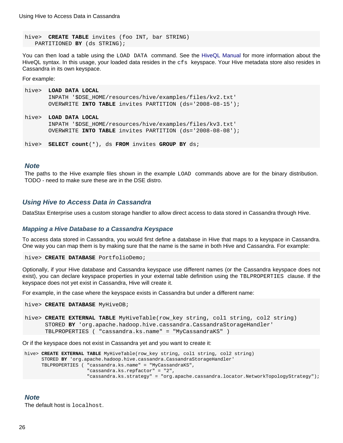hive> **CREATE TABLE** invites (foo INT, bar STRING) PARTITIONED **BY** (ds STRING);

You can then load a table using the LOAD DATA command. See the [HiveQL Manual f](http://wiki.apache.org/hadoop/Hive/LanguageManual)or more information about the HiveQL syntax. In this usage, your loaded data resides in the cfs keyspace. Your Hive metadata store also resides in Cassandra in its own keyspace.

For example:

| hive> LOAD DATA LOCAL<br>INPATH '\$DSE HOME/resources/hive/examples/files/kv2.txt'<br>OVERWRITE INTO TABLE invites PARTITION (ds='2008-08-15'); |
|-------------------------------------------------------------------------------------------------------------------------------------------------|
| hive> LOAD DATA LOCAL<br>INPATH '\$DSE HOME/resources/hive/examples/files/kv3.txt'<br>OVERWRITE INTO TABLE invites PARTITION (ds='2008-08-08'); |
| hive> SELECT count $(*)$ , ds FROM invites GROUP BY ds;                                                                                         |

#### **Note**

The paths to the Hive example files shown in the example LOAD commands above are for the binary distribution. TODO - need to make sure these are in the DSE distro.

#### <span id="page-29-0"></span>**Using Hive to Access Data in Cassandra**

DataStax Enterprise uses a custom storage handler to allow direct access to data stored in Cassandra through Hive.

#### <span id="page-29-1"></span>**Mapping a Hive Database to a Cassandra Keyspace**

To access data stored in Cassandra, you would first define a database in Hive that maps to a keyspace in Cassandra. One way you can map them is by making sure that the name is the same in both Hive and Cassandra. For example:

```
hive> CREATE DATABASE PortfolioDemo;
```
Optionally, if your Hive database and Cassandra keyspace use different names (or the Cassandra keyspace does not exist), you can declare keyspace properties in your external table definition using the TBLPROPERTIES clause. If the keyspace does not yet exist in Cassandra, Hive will create it.

For example, in the case where the keyspace exists in Cassandra but under a different name:

```
hive> CREATE DATABASE MyHiveDB;
```
hive> **CREATE EXTERNAL TABLE** MyHiveTable(row\_key string, col1 string, col2 string) STORED **BY** 'org.apache.hadoop.hive.cassandra.CassandraStorageHandler' TBLPROPERTIES ( "cassandra.ks.name" = "MyCassandraKS" )

Or if the keyspace does not exist in Cassandra yet and you want to create it:

```
hive> CREATE EXTERNAL TABLE MyHiveTable(row_key string, col1 string, col2 string)
       STORED BY 'org.apache.hadoop.hive.cassandra.CassandraStorageHandler'
       TBLPROPERTIES ( "cassandra.ks.name" = "MyCassandraKS",
                       "cassandra.ks.repfactor" = "2",
                       "cassandra.ks.strategy" = "org.apache.cassandra.locator.NetworkTopologyStrategy");
```
#### **Note**

The default host is localhost.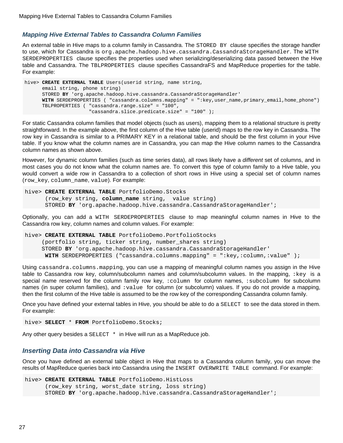#### <span id="page-30-0"></span>**Mapping Hive External Tables to Cassandra Column Families**

An external table in Hive maps to a column family in Cassandra. The STORED BY clause specifies the storage handler to use, which for Cassandra is org.apache.hadoop.hive.cassandra.CassandraStorageHandler. The WITH SERDEPROPERTIES clause specifies the properties used when serializing/deserializing data passed between the Hive table and Cassandra. The TBLPROPERTIES clause specifies CassandraFS and MapReduce properties for the table. For example:

```
hive> CREATE EXTERNAL TABLE Users(userid string, name string,
       email string, phone string)
       STORED BY 'org.apache.hadoop.hive.cassandra.CassandraStorageHandler'
       WITH SERDEPROPERTIES ( "cassandra.columns.mapping" = ":key,user_name,primary_email,home_phone")
       TBLPROPERTIES ( "cassandra.range.size" = "100",
                       "cassandra.slice.predicate.size" = "100" );
```
For static Cassandra column families that model objects (such as users), mapping them to a relational structure is pretty straightforward. In the example above, the first column of the Hive table (userid) maps to the row key in Cassandra. The row key in Cassandra is similar to a PRIMARY KEY in a relational table, and should be the first column in your Hive table. If you know what the column names are in Cassandra, you can map the Hive column names to the Cassandra column names as shown above.

However, for dynamic column families (such as time series data), all rows likely have a different set of columns, and in most cases you do not know what the column names are. To convert this type of column family to a Hive table, you would convert a wide row in Cassandra to a collection of short rows in Hive using a special set of column names (row\_key, column\_name, value). For example:

```
hive> CREATE EXTERNAL TABLE PortfolioDemo.Stocks
       (row_key string, column_name string, value string)
       STORED BY 'org.apache.hadoop.hive.cassandra.CassandraStorageHandler';
```
Optionally, you can add a WITH SERDEPROPERTIES clause to map meaningful column names in Hive to the Cassandra row key, column names and column values. For example:

```
hive> CREATE EXTERNAL TABLE PortfolioDemo.PortfolioStocks
      (portfolio string, ticker string, number_shares string)
      STORED BY 'org.apache.hadoop.hive.cassandra.CassandraStorageHandler'
       WITH SERDEPROPERTIES ("cassandra.columns.mapping" = ":key,:column,:value" );
```
Using cassandra.columns.mapping, you can use a mapping of meaningful column names you assign in the Hive table to Cassandra row key, column/subcolumn names and column/subcolumn values. In the mapping,  $i \, k \cdot y$  is a special name reserved for the column family row key, :column for column names, :subcolumn for subcolumn names (in super column families), and :value for column (or subcolumn) values. If you do not provide a mapping, then the first column of the Hive table is assumed to be the row key of the corresponding Cassandra column family.

Once you have defined your external tables in Hive, you should be able to do a SELECT to see the data stored in them. For example:

hive> **SELECT** \* **FROM** PortfolioDemo.Stocks;

Any other query besides a SELECT \* in Hive will run as a MapReduce job.

#### <span id="page-30-1"></span>**Inserting Data into Cassandra via Hive**

Once you have defined an external table object in Hive that maps to a Cassandra column family, you can move the results of MapReduce queries back into Cassandra using the INSERT OVERWRITE TABLE command. For example:

```
hive> CREATE EXTERNAL TABLE PortfolioDemo.HistLoss
       (row_key string, worst_date string, loss string)
       STORED BY 'org.apache.hadoop.hive.cassandra.CassandraStorageHandler';
```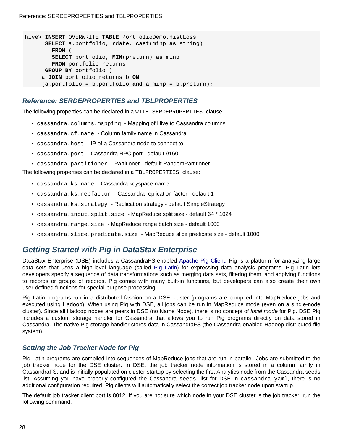```
hive> INSERT OVERWRITE TABLE PortfolioDemo.HistLoss
       SELECT a.portfolio, rdate, cast(minp as string)
         FROM (
         SELECT portfolio, MIN(preturn) as minp
         FROM portfolio_returns
       GROUP BY portfolio )
      a JOIN portfolio_returns b ON
      (a.portfolio = b.portfolio and a.minp = b.preturn);
```
## <span id="page-31-0"></span>**Reference: SERDEPROPERTIES and TBLPROPERTIES**

The following properties can be declared in a WITH SERDEPROPERTIES clause:

- cassandra.columns.mapping Mapping of Hive to Cassandra columns
- cassandra.cf.name Column family name in Cassandra
- cassandra.host IP of a Cassandra node to connect to
- cassandra.port Cassandra RPC port default 9160
- cassandra.partitioner Partitioner default RandomPartitioner

The following properties can be declared in a TBLPROPERTIES clause:

- cassandra.ks.name Cassandra keyspace name
- cassandra.ks.repfactor Cassandra replication factor default 1
- cassandra.ks.strategy Replication strategy default SimpleStrategy
- cassandra.input.split.size MapReduce split size default 64 \* 1024
- cassandra.range.size MapReduce range batch size default 1000
- cassandra.slice.predicate.size MapReduce slice predicate size default 1000

## <span id="page-31-3"></span><span id="page-31-1"></span>**Getting Started with Pig in DataStax Enterprise**

DataStax Enterprise (DSE) includes a CassandraFS-enabled [Apache Pig Client.](http://pig.apache.org/docs/r0.8.0/index.html) Pig is a platform for analyzing large data sets that uses a high-level language (called [Pig Latin](http://pig.apache.org/docs/r0.8.0/piglatin_ref1.html)) for expressing data analysis programs. Pig Latin lets developers specify a sequence of data transformations such as merging data sets, filtering them, and applying functions to records or groups of records. Pig comes with many built-in functions, but developers can also create their own user-defined functions for special-purpose processing.

Pig Latin programs run in a distributed fashion on a DSE cluster (programs are complied into MapReduce jobs and executed using Hadoop). When using Pig with DSE, all jobs can be run in MapReduce mode (even on a single-node cluster). Since all Hadoop nodes are peers in DSE (no Name Node), there is no concept of local mode for Pig. DSE Pig includes a custom storage handler for Cassandra that allows you to run Pig programs directly on data stored in Cassandra. The native Pig storage handler stores data in CassandraFS (the Cassandra-enabled Hadoop distributed file system).

## <span id="page-31-2"></span>**Setting the Job Tracker Node for Pig**

Pig Latin programs are compiled into sequences of MapReduce jobs that are run in parallel. Jobs are submitted to the job tracker node for the DSE cluster. In DSE, the job tracker node information is stored in a column family in CassandraFS, and is initially populated on cluster startup by selecting the first Analytics node from the Cassandra seeds list. Assuming you have properly configured the Cassandra seeds list for DSE in cassandra.yaml, there is no additional configuration required. Pig clients will automatically select the correct job tracker node upon startup.

The default job tracker client port is 8012. If you are not sure which node in your DSE cluster is the job tracker, run the following command: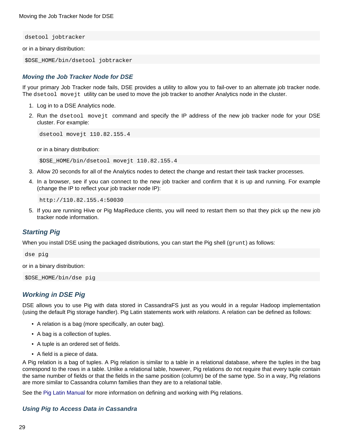dsetool jobtracker

or in a binary distribution:

\$DSE\_HOME/bin/dsetool jobtracker

### <span id="page-32-0"></span>**Moving the Job Tracker Node for DSE**

If your primary Job Tracker node fails, DSE provides a utility to allow you to fail-over to an alternate job tracker node. The dsetool movejt utility can be used to move the job tracker to another Analytics node in the cluster.

- 1. Log in to a DSE Analytics node.
- 2. Run the dsetool movejt command and specify the IP address of the new job tracker node for your DSE cluster. For example:

dsetool movejt 110.82.155.4

or in a binary distribution:

\$DSE\_HOME/bin/dsetool movejt 110.82.155.4

- 3. Allow 20 seconds for all of the Analytics nodes to detect the change and restart their task tracker processes.
- 4. In a browser, see if you can connect to the new job tracker and confirm that it is up and running. For example (change the IP to reflect your job tracker node IP):

http://110.82.155.4:50030

5. If you are running Hive or Pig MapReduce clients, you will need to restart them so that they pick up the new job tracker node information.

## <span id="page-32-4"></span><span id="page-32-1"></span>**Starting Pig**

When you install DSE using the packaged distributions, you can start the Pig shell (grunt) as follows:

dse pig

or in a binary distribution:

\$DSE\_HOME/bin/dse pig

## <span id="page-32-2"></span>**Working in DSE Pig**

DSE allows you to use Pig with data stored in CassandraFS just as you would in a regular Hadoop implementation (using the default Pig storage handler). Pig Latin statements work with relations. A relation can be defined as follows:

- A relation is a bag (more specifically, an outer bag).
- A bag is a collection of tuples.
- A tuple is an ordered set of fields.
- A field is a piece of data.

A Pig relation is a bag of tuples. A Pig relation is similar to a table in a relational database, where the tuples in the bag correspond to the rows in a table. Unlike a relational table, however, Pig relations do not require that every tuple contain the same number of fields or that the fields in the same position (column) be of the same type. So in a way, Pig relations are more similar to Cassandra column families than they are to a relational table.

See the [Pig Latin Manual f](http://pig.apache.org/docs/r0.8.0/piglatin_ref2.html#relations)or more information on defining and working with Pig relations.

#### <span id="page-32-3"></span>**Using Pig to Access Data in Cassandra**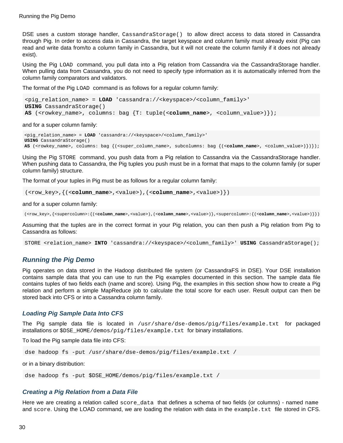Running the Pig Demo

DSE uses a custom storage handler, CassandraStorage() to allow direct access to data stored in Cassandra through Pig. In order to access data in Cassandra, the target keyspace and column family must already exist (Pig can read and write data from/to a column family in Cassandra, but it will not create the column family if it does not already exist).

Using the Pig LOAD command, you pull data into a Pig relation from Cassandra via the CassandraStorage handler. When pulling data from Cassandra, you do not need to specify type information as it is automatically inferred from the column family comparators and validators.

The format of the Pig LOAD command is as follows for a regular column family:

```
<pig_relation_name> = LOAD 'cassandra://<keyspace>/<column_family>'
USING CassandraStorage()
AS (<rowkey_name>, columns: bag {T: tuple(<column_name>, <column_value>)});
```
and for a super column family:

```
<pig_relation_name> = LOAD 'cassandra://<keyspace>/<column_family>'
USING CassandraStorage()
AS (<rowkey_name>, columns: bag {(<super_column_name>, subcolumns: bag {(<column_name>, <column_value>)})});
```
Using the Pig STORE command, you push data from a Pig relation to Cassandra via the CassandraStorage handler. When pushing data to Cassandra, the Pig tuples you push must be in a format that maps to the column family (or super column family) structure.

The format of your tuples in Pig must be as follows for a regular column family:

```
(<row_key>,{(<column_name>,<value>),(<column_name>,<value>)})
```
and for a super column family:

```
(<row_key>,{<supercolumn>:{(<column_name>,<value>),(<column_name>,<value>)},<supercolumn>:{(<column_name>,<value>)}})
```
Assuming that the tuples are in the correct format in your Pig relation, you can then push a Pig relation from Pig to Cassandra as follows:

STORE <relation\_name> **INTO** 'cassandra://<keyspace>/<column\_family>' **USING** CassandraStorage();

## <span id="page-33-0"></span>**Running the Pig Demo**

Pig operates on data stored in the Hadoop distributed file system (or CassandraFS in DSE). Your DSE installation contains sample data that you can use to run the Pig examples documented in this section. The sample data file contains tuples of two fields each (name and score). Using Pig, the examples in this section show how to create a Pig relation and perform a simple MapReduce job to calculate the total score for each user. Result output can then be stored back into CFS or into a Cassandra column family.

#### <span id="page-33-3"></span><span id="page-33-1"></span>**Loading Pig Sample Data Into CFS**

The Pig sample data file is located in /usr/share/dse-demos/pig/files/example.txt for packaged installations or \$DSE\_HOME/demos/pig/files/example.txt for binary installations.

To load the Pig sample data file into CFS:

dse hadoop fs -put /usr/share/dse-demos/pig/files/example.txt /

or in a binary distribution:

dse hadoop fs -put \$DSE\_HOME/demos/pig/files/example.txt /

## <span id="page-33-2"></span>**Creating a Pig Relation from a Data File**

Here we are creating a relation called score\_data that defines a schema of two fields (or columns) - named name and score. Using the LOAD command, we are loading the relation with data in the example.txt file stored in CFS.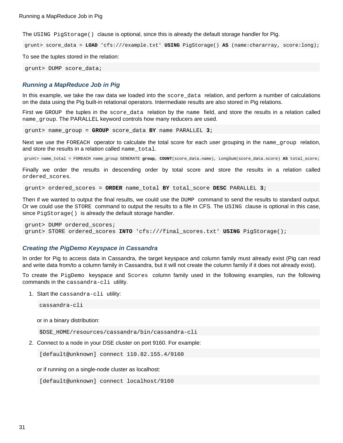The USING PigStorage() clause is optional, since this is already the default storage handler for Pig.

grunt> score\_data = **LOAD** 'cfs:///example.txt' **USING** PigStorage() **AS** (name:chararray, score:long);

To see the tuples stored in the relation:

grunt> DUMP score data;

#### <span id="page-34-2"></span><span id="page-34-0"></span>**Running a MapReduce Job in Pig**

In this example, we take the raw data we loaded into the score\_data relation, and perform a number of calculations on the data using the Pig built-in relational operators. Intermediate results are also stored in Pig relations.

First we GROUP the tuples in the score data relation by the name field, and store the results in a relation called name\_group. The PARALLEL keyword controls how many reducers are used.

grunt> name\_group = **GROUP** score\_data **BY** name PARALLEL **3**;

Next we use the FOREACH operator to calculate the total score for each user grouping in the name\_group relation, and store the results in a relation called name\_total.

grunt> name\_total = FOREACH name\_group GENERATE **group**, **COUNT**(score\_data.name), LongSum(score\_data.score) **AS** total\_score;

Finally we order the results in descending order by total score and store the results in a relation called ordered\_scores.

grunt> ordered\_scores = **ORDER** name\_total **BY** total\_score **DESC** PARALLEL **3**;

Then if we wanted to output the final results, we could use the DUMP command to send the results to standard output. Or we could use the STORE command to output the results to a file in CFS. The USING clause is optional in this case, since PigStorage() is already the default storage handler.

```
grunt> DUMP ordered_scores;
grunt> STORE ordered_scores INTO 'cfs:///final_scores.txt' USING PigStorage();
```
#### <span id="page-34-1"></span>**Creating the PigDemo Keyspace in Cassandra**

In order for Pig to access data in Cassandra, the target keyspace and column family must already exist (Pig can read and write data from/to a column family in Cassandra, but it will not create the column family if it does not already exist).

To create the PigDemo keyspace and Scores column family used in the following examples, run the following commands in the cassandra-cli utility.

1. Start the cassandra-cli utility:

cassandra-cli

or in a binary distribution:

\$DSE\_HOME/resources/cassandra/bin/cassandra-cli

2. Connect to a node in your DSE cluster on port 9160. For example:

[default@unknown] connect 110.82.155.4/9160

or if running on a single-node cluster as localhost:

[default@unknown] connect localhost/9160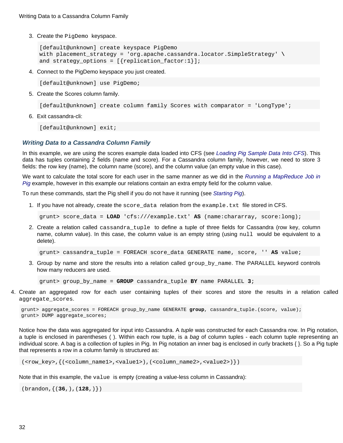3. Create the PigDemo keyspace.

```
[default@unknown] create keyspace PigDemo
with placement_strategy = 'org.apache.cassandra.locator.SimpleStrategy' \
and strategy_options = [{replication_factor:1}];
```
4. Connect to the PigDemo keyspace you just created.

[default@unknown] use PigDemo;

5. Create the Scores column family.

[default@unknown] create column family Scores with comparator = 'LongType';

6. Exit cassandra-cli:

[default@unknown] exit;

#### <span id="page-35-1"></span><span id="page-35-0"></span>**Writing Data to a Cassandra Column Family**

In this example, we are using the scores example data loaded into CFS (see [Loading Pig Sample Data Into CFS](#page-33-3)). This data has tuples containing 2 fields (name and score). For a Cassandra column family, however, we need to store 3 fields: the row key (name), the column name (score), and the column value (an empty value in this case).

We want to calculate the total score for each user in the same manner as we did in the [Running a MapReduce Job in](#page-34-2) [Pig](#page-34-2) example, however in this example our relations contain an extra empty field for the column value.

To run these commands, start the Pig shell if you do not have it running (see [Starting Pig](#page-32-4)).

1. If you have not already, create the score\_data relation from the example.txt file stored in CFS.

grunt> score\_data = **LOAD** 'cfs:///example.txt' **AS** (name:chararray, score:long);

2. Create a relation called cassandra\_tuple to define a tuple of three fields for Cassandra (row key, column name, column value). In this case, the column value is an empty string (using null would be equivalent to a delete).

grunt> cassandra\_tuple = FOREACH score\_data GENERATE name, score, '' **AS** value;

3. Group by name and store the results into a relation called group\_by\_name. The PARALLEL keyword controls how many reducers are used.

grunt> group\_by\_name = **GROUP** cassandra\_tuple **BY** name PARALLEL **3**;

4. Create an aggregated row for each user containing tuples of their scores and store the results in a relation called aggregate scores.

```
grunt> aggregate_scores = FOREACH group_by_name GENERATE group, cassandra_tuple.(score, value);
grunt> DUMP aggregate_scores;
```
Notice how the data was aggregated for input into Cassandra. A tuple was constructed for each Cassandra row. In Pig notation, a tuple is enclosed in parentheses (). Within each row tuple, is a bag of column tuples - each column tuple representing an individual score. A bag is a collection of tuples in Pig. In Pig notation an inner bag is enclosed in curly brackets { }. So a Pig tuple that represents a row in a column family is structured as:

(<row\_key>,{(<column\_name1>,<value1>),(<column\_name2>,<value2>)})

Note that in this example, the value is empty (creating a value-less column in Cassandra):

(brandon,{(**36**,),(**128**,)})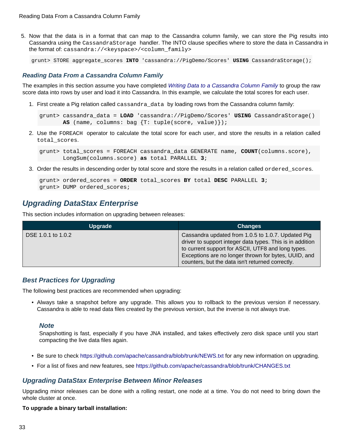5. Now that the data is in a format that can map to the Cassandra column family, we can store the Pig results into Cassandra using the CassandraStorage handler. The INTO clause specifies where to store the data in Cassandra in the format of: cassandra://<keyspace>/<column\_family>

grunt> STORE aggregate\_scores **INTO** 'cassandra://PigDemo/Scores' **USING** CassandraStorage();

#### <span id="page-36-0"></span>**Reading Data From a Cassandra Column Family**

The examples in this section assume you have completed [Writing Data to a Cassandra Column Family](#page-35-1) to group the raw score data into rows by user and load it into Cassandra. In this example, we calculate the total scores for each user.

1. First create a Pig relation called cassandra\_data by loading rows from the Cassandra column family:

```
grunt> cassandra_data = LOAD 'cassandra://PigDemo/Scores' USING CassandraStorage()
        AS (name, columns: bag {T: tuple(score, value)});
```
2. Use the FOREACH operator to calculate the total score for each user, and store the results in a relation called total\_scores.

grunt> total\_scores = FOREACH cassandra\_data GENERATE name, **COUNT**(columns.score), LongSum(columns.score) **as** total PARALLEL **3**;

3. Order the results in descending order by total score and store the results in a relation called ordered\_scores.

```
grunt> ordered_scores = ORDER total_scores BY total DESC PARALLEL 3;
grunt> DUMP ordered_scores;
```
## <span id="page-36-1"></span>**Upgrading DataStax Enterprise**

This section includes information on upgrading between releases:

| <b>Upgrade</b>     | <b>Changes</b>                                                                                                                                                                                                                                                                    |
|--------------------|-----------------------------------------------------------------------------------------------------------------------------------------------------------------------------------------------------------------------------------------------------------------------------------|
| DSE 1.0.1 to 1.0.2 | Cassandra updated from 1.0.5 to 1.0.7. Updated Pig<br>driver to support integer data types. This is in addition<br>to current support for ASCII, UTF8 and long types.<br>Exceptions are no longer thrown for bytes, UUID, and<br>counters, but the data isn't returned correctly. |

## <span id="page-36-2"></span>**Best Practices for Upgrading**

The following best practices are recommended when upgrading:

• Always take a snapshot before any upgrade. This allows you to rollback to the previous version if necessary. Cassandra is able to read data files created by the previous version, but the inverse is not always true.

#### **Note**

Snapshotting is fast, especially if you have JNA installed, and takes effectively zero disk space until you start compacting the live data files again.

- Be sure to check<https://github.com/apache/cassandra/blob/trunk/NEWS.txt>for any new information on upgrading.
- For a list of fixes and new features, see <https://github.com/apache/cassandra/blob/trunk/CHANGES.txt>

## <span id="page-36-3"></span>**Upgrading DataStax Enterprise Between Minor Releases**

Upgrading minor releases can be done with a rolling restart, one node at a time. You do not need to bring down the whole cluster at once.

#### **To upgrade a binary tarball installation:**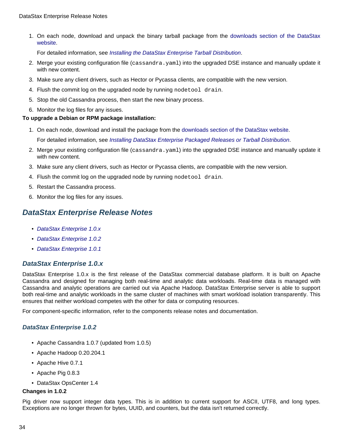1. On each node, download and unpack the binary tarball package from the [downloads section of the DataStax](http://www.datastax.com/download/enterprise/versions) [website.](http://www.datastax.com/download/enterprise/versions)

For detailed information, see [Installing the DataStax Enterprise Tarball Distribution](#page-16-2).

- 2. Merge your existing configuration file (cassandra.yaml) into the upgraded DSE instance and manually update it with new content.
- 3. Make sure any client drivers, such as Hector or Pycassa clients, are compatible with the new version.
- 4. Flush the commit log on the upgraded node by running nodetool drain.
- 5. Stop the old Cassandra process, then start the new binary process.
- 6. Monitor the log files for any issues.

#### **To upgrade a Debian or RPM package installation:**

- 1. On each node, download and install the package from the [downloads section of the DataStax website](http://www.datastax.com/download/enterprise/versions). For detailed information, see [Installing DataStax Enterprise Packaged Releases or Tarball Distribution](#page-13-1).
- 2. Merge your existing configuration file (cassandra.yaml) into the upgraded DSE instance and manually update it with new content.
- 3. Make sure any client drivers, such as Hector or Pycassa clients, are compatible with the new version.
- 4. Flush the commit log on the upgraded node by running nodetool drain.
- 5. Restart the Cassandra process.
- 6. Monitor the log files for any issues.

## <span id="page-37-0"></span>**DataStax Enterprise Release Notes**

- [DataStax Enterprise 1.0.x](#page-14-2)
- [DataStax Enterprise 1.0.2](#page-16-3)
- [DataStax Enterprise 1.0.1](#page-17-4)

## <span id="page-37-1"></span>**DataStax Enterprise 1.0.x**

DataStax Enterprise 1.0.x is the first release of the DataStax commercial database platform. It is built on Apache Cassandra and designed for managing both real-time and analytic data workloads. Real-time data is managed with Cassandra and analytic operations are carried out via Apache Hadoop. DataStax Enterprise server is able to support both real-time and analytic workloads in the same cluster of machines with smart workload isolation transparently. This ensures that neither workload competes with the other for data or computing resources.

For component-specific information, refer to the components release notes and documentation.

## <span id="page-37-2"></span>**DataStax Enterprise 1.0.2**

- Apache Cassandra 1.0.7 (updated from 1.0.5)
- Apache Hadoop 0.20.204.1
- Apache Hive 0.7.1
- Apache Pig 0.8.3
- DataStax OpsCenter 1.4

#### **Changes in 1.0.2**

Pig driver now support integer data types. This is in addition to current support for ASCII, UTF8, and long types. Exceptions are no longer thrown for bytes, UUID, and counters, but the data isn't returned correctly.